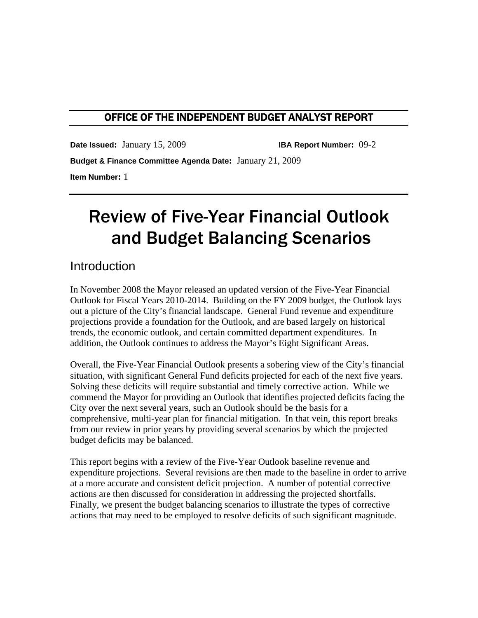### OFFICE OF THE INDEPENDENT BUDGET ANALYST REPORT

 **Date Issued:** January 15, 2009 **IBA Report Number:** 09-2

**Budget & Finance Committee Agenda Date:** January 21, 2009 **Item Number:** 1

# Review of Five-Year Financial Outlook and Budget Balancing Scenarios

### **Introduction**

In November 2008 the Mayor released an updated version of the Five-Year Financial Outlook for Fiscal Years 2010-2014. Building on the FY 2009 budget, the Outlook lays out a picture of the City's financial landscape. General Fund revenue and expenditure projections provide a foundation for the Outlook, and are based largely on historical trends, the economic outlook, and certain committed department expenditures. In addition, the Outlook continues to address the Mayor's Eight Significant Areas.

Overall, the Five-Year Financial Outlook presents a sobering view of the City's financial situation, with significant General Fund deficits projected for each of the next five years. Solving these deficits will require substantial and timely corrective action. While we commend the Mayor for providing an Outlook that identifies projected deficits facing the City over the next several years, such an Outlook should be the basis for a comprehensive, multi-year plan for financial mitigation. In that vein, this report breaks from our review in prior years by providing several scenarios by which the projected budget deficits may be balanced.

This report begins with a review of the Five-Year Outlook baseline revenue and expenditure projections. Several revisions are then made to the baseline in order to arrive at a more accurate and consistent deficit projection. A number of potential corrective actions are then discussed for consideration in addressing the projected shortfalls. Finally, we present the budget balancing scenarios to illustrate the types of corrective actions that may need to be employed to resolve deficits of such significant magnitude.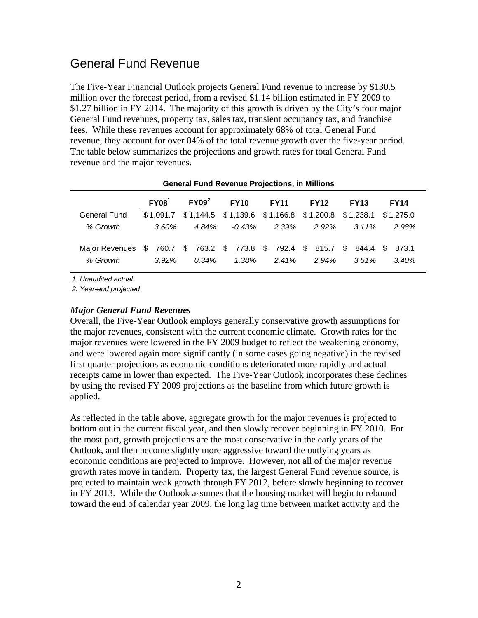### General Fund Revenue

The Five-Year Financial Outlook projects General Fund revenue to increase by \$130.5 million over the forecast period, from a revised \$1.14 billion estimated in FY 2009 to \$1.27 billion in FY 2014. The majority of this growth is driven by the City's four major General Fund revenues, property tax, sales tax, transient occupancy tax, and franchise fees. While these revenues account for approximately 68% of total General Fund revenue, they account for over 84% of the total revenue growth over the five-year period. The table below summarizes the projections and growth rates for total General Fund revenue and the major revenues.

|                                                                                    |          | <u>seneral ranamento rende i repostenci in minieno</u>                       |             |             |                       |             |             |
|------------------------------------------------------------------------------------|----------|------------------------------------------------------------------------------|-------------|-------------|-----------------------|-------------|-------------|
|                                                                                    | $FY08^1$ | $FY09^2$                                                                     | <b>FY10</b> | <b>FY11</b> | <b>FY12</b>           | <b>FY13</b> | <b>FY14</b> |
| General Fund                                                                       |          | $$1,091.7$ $$1,144.5$ $$1,139.6$ $$1,166.8$ $$1,200.8$ $$1,238.1$ $$1,275.0$ |             |             |                       |             |             |
| % Growth                                                                           | $3.60\%$ | 4.84%                                                                        |             |             | $-0.43\%$ 2.39% 2.92% | $3.11\%$    | 2.98%       |
| Major Revenues \$760.7 \$763.2 \$773.8 \$792.4 \$815.7 \$844.4 \$873.1<br>% Growth | $3.92\%$ | 0.34%                                                                        | 1.38%       | 2.41%       | $2.94\%$              | $3.51\%$    | 3.40%       |

**General Fund Revenue Projections, in Millions** 

*1. Unaudited actual* 

*2. Year-end projected* 

#### *Major General Fund Revenues*

Overall, the Five-Year Outlook employs generally conservative growth assumptions for the major revenues, consistent with the current economic climate. Growth rates for the major revenues were lowered in the FY 2009 budget to reflect the weakening economy, and were lowered again more significantly (in some cases going negative) in the revised first quarter projections as economic conditions deteriorated more rapidly and actual receipts came in lower than expected. The Five-Year Outlook incorporates these declines by using the revised FY 2009 projections as the baseline from which future growth is applied.

As reflected in the table above, aggregate growth for the major revenues is projected to bottom out in the current fiscal year, and then slowly recover beginning in FY 2010. For the most part, growth projections are the most conservative in the early years of the Outlook, and then become slightly more aggressive toward the outlying years as economic conditions are projected to improve. However, not all of the major revenue growth rates move in tandem. Property tax, the largest General Fund revenue source, is projected to maintain weak growth through FY 2012, before slowly beginning to recover in FY 2013. While the Outlook assumes that the housing market will begin to rebound toward the end of calendar year 2009, the long lag time between market activity and the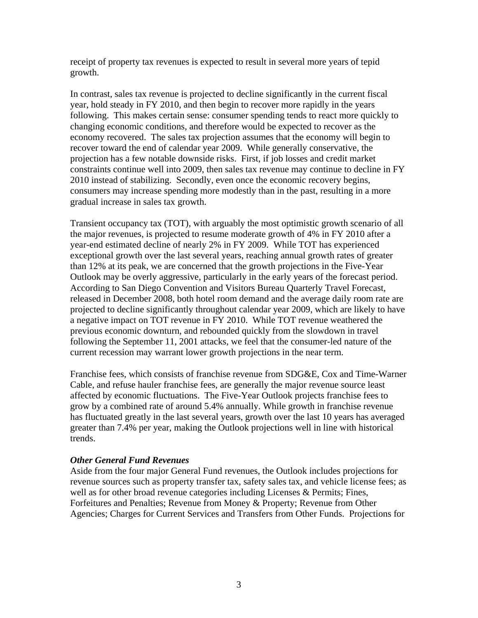receipt of property tax revenues is expected to result in several more years of tepid growth.

In contrast, sales tax revenue is projected to decline significantly in the current fiscal year, hold steady in FY 2010, and then begin to recover more rapidly in the years following. This makes certain sense: consumer spending tends to react more quickly to changing economic conditions, and therefore would be expected to recover as the economy recovered. The sales tax projection assumes that the economy will begin to recover toward the end of calendar year 2009. While generally conservative, the projection has a few notable downside risks. First, if job losses and credit market constraints continue well into 2009, then sales tax revenue may continue to decline in FY 2010 instead of stabilizing. Secondly, even once the economic recovery begins, consumers may increase spending more modestly than in the past, resulting in a more gradual increase in sales tax growth.

Transient occupancy tax (TOT), with arguably the most optimistic growth scenario of all the major revenues, is projected to resume moderate growth of 4% in FY 2010 after a year-end estimated decline of nearly 2% in FY 2009. While TOT has experienced exceptional growth over the last several years, reaching annual growth rates of greater than 12% at its peak, we are concerned that the growth projections in the Five-Year Outlook may be overly aggressive, particularly in the early years of the forecast period. According to San Diego Convention and Visitors Bureau Quarterly Travel Forecast, released in December 2008, both hotel room demand and the average daily room rate are projected to decline significantly throughout calendar year 2009, which are likely to have a negative impact on TOT revenue in FY 2010. While TOT revenue weathered the previous economic downturn, and rebounded quickly from the slowdown in travel following the September 11, 2001 attacks, we feel that the consumer-led nature of the current recession may warrant lower growth projections in the near term.

Franchise fees, which consists of franchise revenue from SDG&E, Cox and Time-Warner Cable, and refuse hauler franchise fees, are generally the major revenue source least affected by economic fluctuations. The Five-Year Outlook projects franchise fees to grow by a combined rate of around 5.4% annually. While growth in franchise revenue has fluctuated greatly in the last several years, growth over the last 10 years has averaged greater than 7.4% per year, making the Outlook projections well in line with historical trends.

#### *Other General Fund Revenues*

Aside from the four major General Fund revenues, the Outlook includes projections for revenue sources such as property transfer tax, safety sales tax, and vehicle license fees; as well as for other broad revenue categories including Licenses & Permits; Fines, Forfeitures and Penalties; Revenue from Money & Property; Revenue from Other Agencies; Charges for Current Services and Transfers from Other Funds. Projections for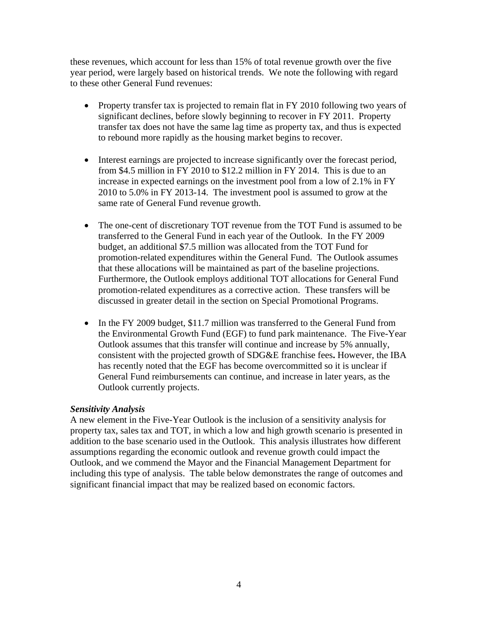these revenues, which account for less than 15% of total revenue growth over the five year period, were largely based on historical trends. We note the following with regard to these other General Fund revenues:

- Property transfer tax is projected to remain flat in FY 2010 following two years of significant declines, before slowly beginning to recover in FY 2011. Property transfer tax does not have the same lag time as property tax, and thus is expected to rebound more rapidly as the housing market begins to recover.
- Interest earnings are projected to increase significantly over the forecast period, from \$4.5 million in FY 2010 to \$12.2 million in FY 2014. This is due to an increase in expected earnings on the investment pool from a low of 2.1% in FY 2010 to 5.0% in FY 2013-14. The investment pool is assumed to grow at the same rate of General Fund revenue growth.
- The one-cent of discretionary TOT revenue from the TOT Fund is assumed to be transferred to the General Fund in each year of the Outlook. In the FY 2009 budget, an additional \$7.5 million was allocated from the TOT Fund for promotion-related expenditures within the General Fund. The Outlook assumes that these allocations will be maintained as part of the baseline projections. Furthermore, the Outlook employs additional TOT allocations for General Fund promotion-related expenditures as a corrective action. These transfers will be discussed in greater detail in the section on Special Promotional Programs.
- In the FY 2009 budget, \$11.7 million was transferred to the General Fund from the Environmental Growth Fund (EGF) to fund park maintenance. The Five-Year Outlook assumes that this transfer will continue and increase by 5% annually, consistent with the projected growth of SDG&E franchise fees**.** However, the IBA has recently noted that the EGF has become overcommitted so it is unclear if General Fund reimbursements can continue, and increase in later years, as the Outlook currently projects.

#### *Sensitivity Analysis*

A new element in the Five-Year Outlook is the inclusion of a sensitivity analysis for property tax, sales tax and TOT, in which a low and high growth scenario is presented in addition to the base scenario used in the Outlook. This analysis illustrates how different assumptions regarding the economic outlook and revenue growth could impact the Outlook, and we commend the Mayor and the Financial Management Department for including this type of analysis. The table below demonstrates the range of outcomes and significant financial impact that may be realized based on economic factors.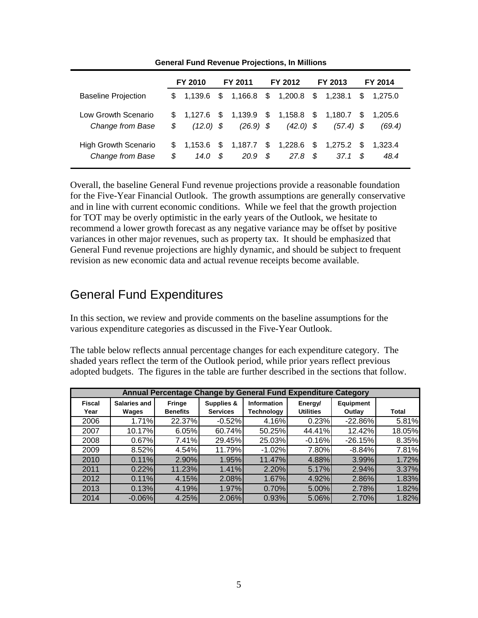|                                                 |           | FY 2010         |    | FY 2011                                                    |      | FY 2012                   |      | FY 2013                          |          | FY 2014           |
|-------------------------------------------------|-----------|-----------------|----|------------------------------------------------------------|------|---------------------------|------|----------------------------------|----------|-------------------|
| <b>Baseline Projection</b>                      |           | \$ 1.139.6      | S. |                                                            |      | $1,166.8$ \$ $1,200.8$ \$ |      | 1,238.1                          | <b>S</b> | 1,275.0           |
| Low Growth Scenario<br>Change from Base         | \$        | $(12.0)$ \$     |    | $$1,127.6$ \$ 1,139.9 \$ 1,158.8 \$ 1,180.7<br>$(26.9)$ \$ |      | $(42.0)$ \$               |      | $(57.4)$ \$                      | S.       | 1.205.6<br>(69.4) |
| <b>High Growth Scenario</b><br>Change from Base | \$.<br>\$ | 1.153.6<br>14.0 | S  | \$ 1.187.7<br>20.9                                         | - \$ | 27.8                      | - \$ | $$1,228.6$ \$ 1,275.2 \$<br>37.1 | - \$     | 1.323.4<br>48.4   |

**General Fund Revenue Projections, In Millions** 

Overall, the baseline General Fund revenue projections provide a reasonable foundation for the Five-Year Financial Outlook. The growth assumptions are generally conservative and in line with current economic conditions. While we feel that the growth projection for TOT may be overly optimistic in the early years of the Outlook, we hesitate to recommend a lower growth forecast as any negative variance may be offset by positive variances in other major revenues, such as property tax. It should be emphasized that General Fund revenue projections are highly dynamic, and should be subject to frequent revision as new economic data and actual revenue receipts become available.

### General Fund Expenditures

In this section, we review and provide comments on the baseline assumptions for the various expenditure categories as discussed in the Five-Year Outlook.

The table below reflects annual percentage changes for each expenditure category. The shaded years reflect the term of the Outlook period, while prior years reflect previous adopted budgets. The figures in the table are further described in the sections that follow.

|                       |                              |                           |                               |                                  | Annual Percentage Change by General Fund Expenditure Category |                            |              |
|-----------------------|------------------------------|---------------------------|-------------------------------|----------------------------------|---------------------------------------------------------------|----------------------------|--------------|
| <b>Fiscal</b><br>Year | <b>Salaries and</b><br>Wages | Fringe<br><b>Benefits</b> | Supplies &<br><b>Services</b> | <b>Information</b><br>Technology | Energy/<br><b>Utilities</b>                                   | <b>Equipment</b><br>Outlay | <b>Total</b> |
| 2006                  | 1.71%                        | 22.37%                    | $-0.52%$                      | 4.16%                            | 0.23%                                                         | $-22.86%$                  | 5.81%        |
| 2007                  | 10.17%                       | 6.05%                     | 60.74%                        | 50.25%                           | 44.41%                                                        | 12.42%                     | 18.05%       |
| 2008                  | 0.67%                        | 7.41%                     | 29.45%                        | 25.03%                           | $-0.16%$                                                      | $-26.15%$                  | 8.35%        |
| 2009                  | 8.52%                        | 4.54%                     | 11.79%                        | $-1.02%$                         | 7.80%                                                         | $-8.84%$                   | 7.81%        |
| 2010                  | 0.11%                        | 2.90%                     | 1.95%                         | 11.47%                           | 4.88%                                                         | 3.99%                      | 1.72%        |
| 2011                  | 0.22%                        | 11.23%                    | 1.41%                         | 2.20%                            | 5.17%                                                         | 2.94%                      | 3.37%        |
| 2012                  | 0.11%                        | 4.15%                     | 2.08%                         | 1.67%                            | 4.92%                                                         | 2.86%                      | 1.83%        |
| 2013                  | 0.13%                        | 4.19%                     | 1.97%                         | 0.70%                            | 5.00%                                                         | 2.78%                      | 1.82%        |
| 2014                  | $-0.06\%$                    | 4.25%                     | 2.06%                         | 0.93%                            | 5.06%                                                         | 2.70%                      | 1.82%        |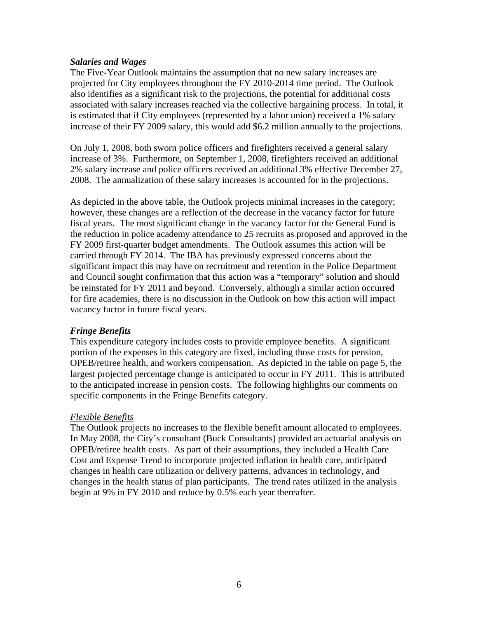#### *Salaries and Wages*

The Five-Year Outlook maintains the assumption that no new salary increases are projected for City employees throughout the FY 2010-2014 time period. The Outlook also identifies as a significant risk to the projections, the potential for additional costs associated with salary increases reached via the collective bargaining process. In total, it is estimated that if City employees (represented by a labor union) received a 1% salary increase of their FY 2009 salary, this would add \$6.2 million annually to the projections.

On July 1, 2008, both sworn police officers and firefighters received a general salary increase of 3%. Furthermore, on September 1, 2008, firefighters received an additional 2% salary increase and police officers received an additional 3% effective December 27, 2008. The annualization of these salary increases is accounted for in the projections.

As depicted in the above table, the Outlook projects minimal increases in the category; however, these changes are a reflection of the decrease in the vacancy factor for future fiscal years. The most significant change in the vacancy factor for the General Fund is the reduction in police academy attendance to 25 recruits as proposed and approved in the FY 2009 first-quarter budget amendments. The Outlook assumes this action will be carried through FY 2014. The IBA has previously expressed concerns about the significant impact this may have on recruitment and retention in the Police Department and Council sought confirmation that this action was a "temporary" solution and should be reinstated for FY 2011 and beyond. Conversely, although a similar action occurred for fire academies, there is no discussion in the Outlook on how this action will impact vacancy factor in future fiscal years.

#### *Fringe Benefits*

This expenditure category includes costs to provide employee benefits. A significant portion of the expenses in this category are fixed, including those costs for pension, OPEB/retiree health, and workers compensation. As depicted in the table on page 5, the largest projected percentage change is anticipated to occur in FY 2011. This is attributed to the anticipated increase in pension costs. The following highlights our comments on specific components in the Fringe Benefits category.

#### *Flexible Benefits*

The Outlook projects no increases to the flexible benefit amount allocated to employees. In May 2008, the City's consultant (Buck Consultants) provided an actuarial analysis on OPEB/retiree health costs. As part of their assumptions, they included a Health Care Cost and Expense Trend to incorporate projected inflation in health care, anticipated changes in health care utilization or delivery patterns, advances in technology, and changes in the health status of plan participants. The trend rates utilized in the analysis begin at 9% in FY 2010 and reduce by 0.5% each year thereafter.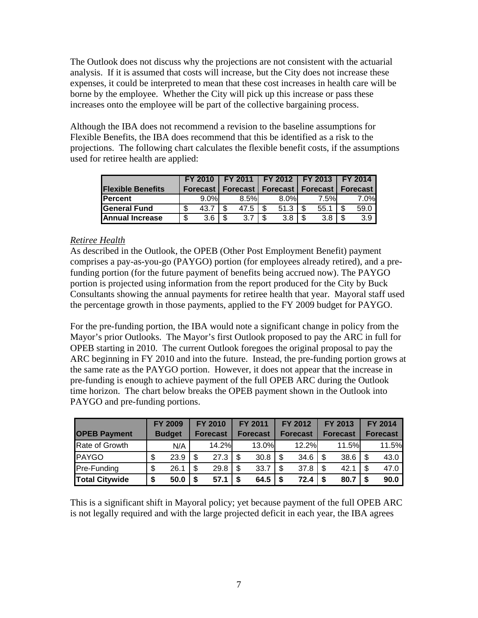The Outlook does not discuss why the projections are not consistent with the actuarial analysis. If it is assumed that costs will increase, but the City does not increase these expenses, it could be interpreted to mean that these cost increases in health care will be borne by the employee. Whether the City will pick up this increase or pass these increases onto the employee will be part of the collective bargaining process.

Although the IBA does not recommend a revision to the baseline assumptions for Flexible Benefits, the IBA does recommend that this be identified as a risk to the projections. The following chart calculates the flexible benefit costs, if the assumptions used for retiree health are applied:

|                          |   | FY 2010         |      |    | FY 2011   FY 2012   FY 2013   FY 2014 |      |            |
|--------------------------|---|-----------------|------|----|---------------------------------------|------|------------|
| <b>Flexible Benefits</b> |   | <b>Forecast</b> |      |    | <b>Forecast   Forecast   Forecast</b> |      | I Forecast |
| <b>IPercent</b>          |   | $9.0\%$         | 8.5% |    | 8.0%                                  | 7.5% | 7.0%       |
| <b>General Fund</b>      |   | 43.7            | 47.5 |    | 51.3                                  | 55.1 | 59.0       |
| <b>Annual Increase</b>   | ጥ | 3.6             | 3.7  | £. | 3.8                                   | 3.8  | 3.9        |

#### *Retiree Health*

As described in the Outlook, the OPEB (Other Post Employment Benefit) payment comprises a pay-as-you-go (PAYGO) portion (for employees already retired), and a prefunding portion (for the future payment of benefits being accrued now). The PAYGO portion is projected using information from the report produced for the City by Buck Consultants showing the annual payments for retiree health that year. Mayoral staff used the percentage growth in those payments, applied to the FY 2009 budget for PAYGO.

For the pre-funding portion, the IBA would note a significant change in policy from the Mayor's prior Outlooks. The Mayor's first Outlook proposed to pay the ARC in full for OPEB starting in 2010. The current Outlook foregoes the original proposal to pay the ARC beginning in FY 2010 and into the future. Instead, the pre-funding portion grows at the same rate as the PAYGO portion. However, it does not appear that the increase in pre-funding is enough to achieve payment of the full OPEB ARC during the Outlook time horizon. The chart below breaks the OPEB payment shown in the Outlook into PAYGO and pre-funding portions.

| <b>OPEB Payment</b>   |    | <b>FY 2009</b><br><b>Budget</b> |   | <b>FY 2010</b><br><b>Forecast</b> | <b>FY 2011</b><br><b>Forecast</b> | FY 2012<br><b>Forecast</b> |      | FY 2013<br><b>Forecast</b> |     | FY 2014<br><b>Forecast</b> |
|-----------------------|----|---------------------------------|---|-----------------------------------|-----------------------------------|----------------------------|------|----------------------------|-----|----------------------------|
| Rate of Growth        |    | N/A                             |   | 14.2%                             | 13.0%                             | 12.2%                      |      | 11.5%                      |     | 11.5%                      |
| PAYGO                 |    | 23.9                            |   | 27.3                              |                                   | 34.6                       | - \$ | 38.6                       | -\$ | 43.0                       |
| <b>Pre-Funding</b>    | \$ | 26.1                            |   | 29.8                              | \$<br>33.7                        | 37.8                       | - \$ | 42.1                       | -\$ | 47.0                       |
| <b>Total Citywide</b> | S  | 50.0                            | S | 57.1                              | $64.5$                            | 72.4                       | - \$ | 80.7                       | Ŝ.  | 90.0                       |

This is a significant shift in Mayoral policy; yet because payment of the full OPEB ARC is not legally required and with the large projected deficit in each year, the IBA agrees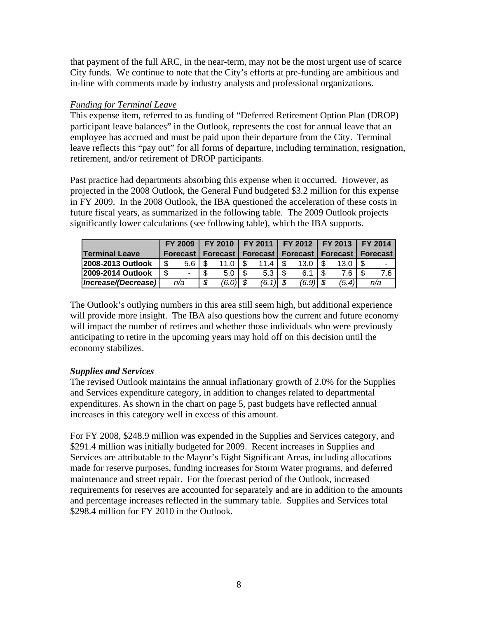that payment of the full ARC, in the near-term, may not be the most urgent use of scarce City funds. We continue to note that the City's efforts at pre-funding are ambitious and in-line with comments made by industry analysts and professional organizations.

#### *Funding for Terminal Leave*

This expense item, referred to as funding of "Deferred Retirement Option Plan (DROP) participant leave balances" in the Outlook, represents the cost for annual leave that an employee has accrued and must be paid upon their departure from the City. Terminal leave reflects this "pay out" for all forms of departure, including termination, resignation, retirement, and/or retirement of DROP participants.

Past practice had departments absorbing this expense when it occurred. However, as projected in the 2008 Outlook, the General Fund budgeted \$3.2 million for this expense in FY 2009. In the 2008 Outlook, the IBA questioned the acceleration of these costs in future fiscal years, as summarized in the following table. The 2009 Outlook projects significantly lower calculations (see following table), which the IBA supports.

|                       |     | <b>FY 2009</b> |  |             |  | FY 2010 FY 2011 FY 2012 FY 2013 FY 2014 |            |                                                                 |       |  |     |
|-----------------------|-----|----------------|--|-------------|--|-----------------------------------------|------------|-----------------------------------------------------------------|-------|--|-----|
| <b>Terminal Leave</b> |     |                |  |             |  |                                         |            | Forecast   Forecast   Forecast   Forecast   Forecast   Forecast |       |  |     |
| 2008-2013 Outlook     | \$  | 5.6 I          |  | 11.0        |  | 11.4                                    | 13.0       |                                                                 | 13.C  |  | ۰   |
| 2009-2014 Outlook     | \$. |                |  | $5.0$ I $$$ |  | $5.3$ I $$$                             | 6.1        |                                                                 | 7.6 I |  |     |
| Increase/(Decrease)   |     | n/a            |  | (6.0) \$    |  | $(6.1)$ \$                              | $(6.9)$ \$ |                                                                 | (5.4) |  | n/a |

The Outlook's outlying numbers in this area still seem high, but additional experience will provide more insight. The IBA also questions how the current and future economy will impact the number of retirees and whether those individuals who were previously anticipating to retire in the upcoming years may hold off on this decision until the economy stabilizes.

#### *Supplies and Services*

The revised Outlook maintains the annual inflationary growth of 2.0% for the Supplies and Services expenditure category, in addition to changes related to departmental expenditures. As shown in the chart on page 5, past budgets have reflected annual increases in this category well in excess of this amount.

For FY 2008, \$248.9 million was expended in the Supplies and Services category, and \$291.4 million was initially budgeted for 2009. Recent increases in Supplies and Services are attributable to the Mayor's Eight Significant Areas, including allocations made for reserve purposes, funding increases for Storm Water programs, and deferred maintenance and street repair. For the forecast period of the Outlook, increased requirements for reserves are accounted for separately and are in addition to the amounts and percentage increases reflected in the summary table. Supplies and Services total \$298.4 million for FY 2010 in the Outlook.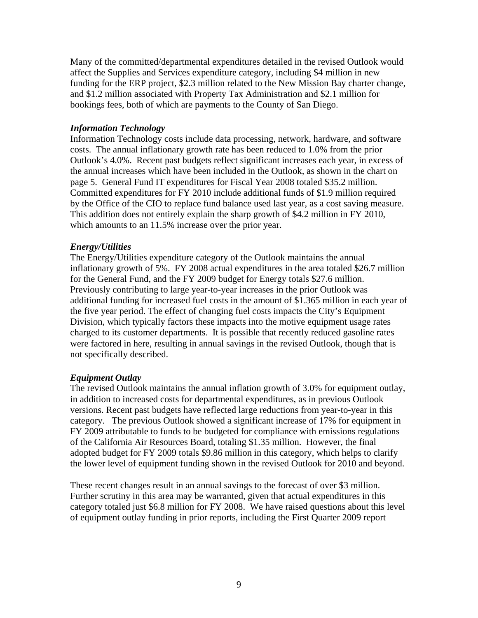Many of the committed/departmental expenditures detailed in the revised Outlook would affect the Supplies and Services expenditure category, including \$4 million in new funding for the ERP project, \$2.3 million related to the New Mission Bay charter change, and \$1.2 million associated with Property Tax Administration and \$2.1 million for bookings fees, both of which are payments to the County of San Diego.

#### *Information Technology*

Information Technology costs include data processing, network, hardware, and software costs. The annual inflationary growth rate has been reduced to 1.0% from the prior Outlook's 4.0%. Recent past budgets reflect significant increases each year, in excess of the annual increases which have been included in the Outlook, as shown in the chart on page 5. General Fund IT expenditures for Fiscal Year 2008 totaled \$35.2 million. Committed expenditures for FY 2010 include additional funds of \$1.9 million required by the Office of the CIO to replace fund balance used last year, as a cost saving measure. This addition does not entirely explain the sharp growth of \$4.2 million in FY 2010, which amounts to an 11.5% increase over the prior year.

#### *Energy/Utilities*

The Energy/Utilities expenditure category of the Outlook maintains the annual inflationary growth of 5%. FY 2008 actual expenditures in the area totaled \$26.7 million for the General Fund, and the FY 2009 budget for Energy totals \$27.6 million. Previously contributing to large year-to-year increases in the prior Outlook was additional funding for increased fuel costs in the amount of \$1.365 million in each year of the five year period. The effect of changing fuel costs impacts the City's Equipment Division, which typically factors these impacts into the motive equipment usage rates charged to its customer departments. It is possible that recently reduced gasoline rates were factored in here, resulting in annual savings in the revised Outlook, though that is not specifically described.

#### *Equipment Outlay*

The revised Outlook maintains the annual inflation growth of 3.0% for equipment outlay, in addition to increased costs for departmental expenditures, as in previous Outlook versions. Recent past budgets have reflected large reductions from year-to-year in this category. The previous Outlook showed a significant increase of 17% for equipment in FY 2009 attributable to funds to be budgeted for compliance with emissions regulations of the California Air Resources Board, totaling \$1.35 million. However, the final adopted budget for FY 2009 totals \$9.86 million in this category, which helps to clarify the lower level of equipment funding shown in the revised Outlook for 2010 and beyond.

These recent changes result in an annual savings to the forecast of over \$3 million. Further scrutiny in this area may be warranted, given that actual expenditures in this category totaled just \$6.8 million for FY 2008. We have raised questions about this level of equipment outlay funding in prior reports, including the First Quarter 2009 report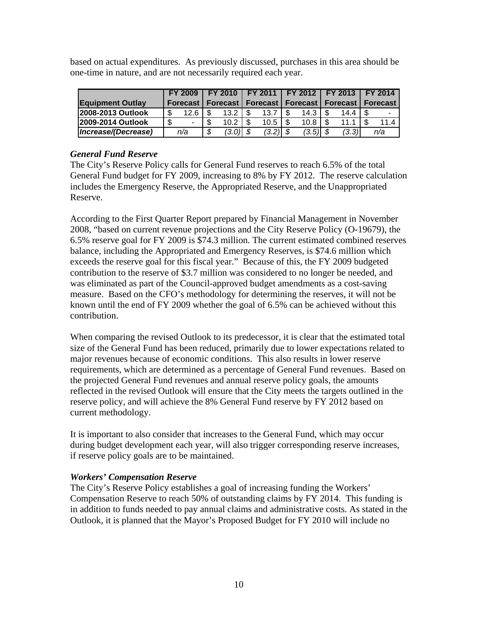based on actual expenditures. As previously discussed, purchases in this area should be one-time in nature, and are not necessarily required each year.

|                          | <b>FY 2009</b> |      |          |      |             | FY 2010   FY 2011   FY 2012   FY 2013   FY 2014 |                                                                 |           |      |
|--------------------------|----------------|------|----------|------|-------------|-------------------------------------------------|-----------------------------------------------------------------|-----------|------|
| <b>Equipment Outlay</b>  |                |      |          |      |             |                                                 | Forecast   Forecast   Forecast   Forecast   Forecast   Forecast |           |      |
| <b>2008-2013 Outlook</b> | 12.6           |      | 13.2     | ∣ \$ | 13.7        | 14.3 I \$                                       |                                                                 | 14.4   \$ |      |
| 2009-2014 Outlook        | $\blacksquare$ |      | 10.2     |      | $10.5$ I \$ | 10.8                                            |                                                                 | 11.1      | 11.4 |
| Increase/(Decrease)      | n/a            | - \$ | (3.0) \$ |      | $(3.2)$ \$  | $(3.5)$ \$                                      |                                                                 | (3.3)     | n/a  |

#### *General Fund Reserve*

The City's Reserve Policy calls for General Fund reserves to reach 6.5% of the total General Fund budget for FY 2009, increasing to 8% by FY 2012. The reserve calculation includes the Emergency Reserve, the Appropriated Reserve, and the Unappropriated Reserve.

According to the First Quarter Report prepared by Financial Management in November 2008, "based on current revenue projections and the City Reserve Policy (O-19679), the 6.5% reserve goal for FY 2009 is \$74.3 million. The current estimated combined reserves balance, including the Appropriated and Emergency Reserves, is \$74.6 million which exceeds the reserve goal for this fiscal year." Because of this, the FY 2009 budgeted contribution to the reserve of \$3.7 million was considered to no longer be needed, and was eliminated as part of the Council-approved budget amendments as a cost-saving measure. Based on the CFO's methodology for determining the reserves, it will not be known until the end of FY 2009 whether the goal of 6.5% can be achieved without this contribution.

When comparing the revised Outlook to its predecessor, it is clear that the estimated total size of the General Fund has been reduced, primarily due to lower expectations related to major revenues because of economic conditions. This also results in lower reserve requirements, which are determined as a percentage of General Fund revenues. Based on the projected General Fund revenues and annual reserve policy goals, the amounts reflected in the revised Outlook will ensure that the City meets the targets outlined in the reserve policy, and will achieve the 8% General Fund reserve by FY 2012 based on current methodology.

It is important to also consider that increases to the General Fund, which may occur during budget development each year, will also trigger corresponding reserve increases, if reserve policy goals are to be maintained.

#### *Workers' Compensation Reserve*

The City's Reserve Policy establishes a goal of increasing funding the Workers' Compensation Reserve to reach 50% of outstanding claims by FY 2014. This funding is in addition to funds needed to pay annual claims and administrative costs. As stated in the Outlook, it is planned that the Mayor's Proposed Budget for FY 2010 will include no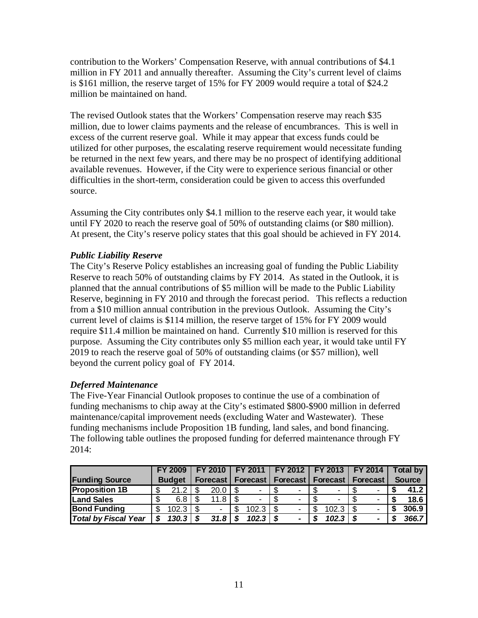contribution to the Workers' Compensation Reserve, with annual contributions of \$4.1 million in FY 2011 and annually thereafter. Assuming the City's current level of claims is \$161 million, the reserve target of 15% for FY 2009 would require a total of \$24.2 million be maintained on hand.

The revised Outlook states that the Workers' Compensation reserve may reach \$35 million, due to lower claims payments and the release of encumbrances. This is well in excess of the current reserve goal. While it may appear that excess funds could be utilized for other purposes, the escalating reserve requirement would necessitate funding be returned in the next few years, and there may be no prospect of identifying additional available revenues. However, if the City were to experience serious financial or other difficulties in the short-term, consideration could be given to access this overfunded source.

Assuming the City contributes only \$4.1 million to the reserve each year, it would take until FY 2020 to reach the reserve goal of 50% of outstanding claims (or \$80 million). At present, the City's reserve policy states that this goal should be achieved in FY 2014.

#### *Public Liability Reserve*

The City's Reserve Policy establishes an increasing goal of funding the Public Liability Reserve to reach 50% of outstanding claims by FY 2014. As stated in the Outlook, it is planned that the annual contributions of \$5 million will be made to the Public Liability Reserve, beginning in FY 2010 and through the forecast period. This reflects a reduction from a \$10 million annual contribution in the previous Outlook. Assuming the City's current level of claims is \$114 million, the reserve target of 15% for FY 2009 would require \$11.4 million be maintained on hand. Currently \$10 million is reserved for this purpose. Assuming the City contributes only \$5 million each year, it would take until FY 2019 to reach the reserve goal of 50% of outstanding claims (or \$57 million), well beyond the current policy goal of FY 2014.

#### *Deferred Maintenance*

The Five-Year Financial Outlook proposes to continue the use of a combination of funding mechanisms to chip away at the City's estimated \$800-\$900 million in deferred maintenance/capital improvement needs (excluding Water and Wastewater). These funding mechanisms include Proposition 1B funding, land sales, and bond financing. The following table outlines the proposed funding for deferred maintenance through FY 2014:

|                             |     | <b>FY 2009</b> |      | <b>FY 2010 1</b>         | FY 2011   FY 2012   FY 2013   FY 2014 |  |    |                              |   |                          | <b>Total by</b> |
|-----------------------------|-----|----------------|------|--------------------------|---------------------------------------|--|----|------------------------------|---|--------------------------|-----------------|
| <b>Funding Source</b>       |     | <b>Budget</b>  |      |                          | <b>Forecast   Forecast  </b>          |  |    | <b>Forecast   Forecast  </b> |   | <b>Forecast</b>          | <b>Source</b>   |
| <b>Proposition 1B</b>       |     | 21.2           |      | 20.0                     |                                       |  |    | -                            |   | -                        | 41.2            |
| <b>Land Sales</b>           | \$. | 6.8            |      | 11.8                     |                                       |  |    | -                            |   | $\overline{\phantom{0}}$ | 18.6            |
| <b>Bond Funding</b>         | S   | 102.3          | - \$ | $\overline{\phantom{0}}$ | 102.3                                 |  | S. | 102.3                        |   | $\overline{\phantom{0}}$ | 306.9           |
| <b>Total by Fiscal Year</b> |     | 130.3          |      | 31.8 l                   | 102.3                                 |  |    | 102.3                        | S |                          | 366.7           |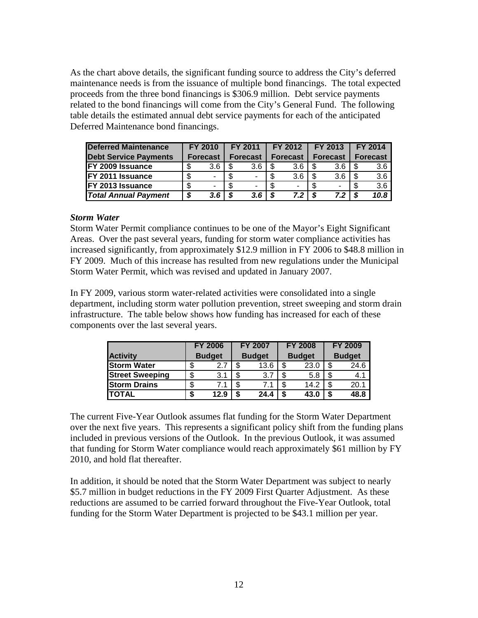As the chart above details, the significant funding source to address the City's deferred maintenance needs is from the issuance of multiple bond financings. The total expected proceeds from the three bond financings is \$306.9 million. Debt service payments related to the bond financings will come from the City's General Fund. The following table details the estimated annual debt service payments for each of the anticipated Deferred Maintenance bond financings.

| <b>Deferred Maintenance</b>  | FY 2010                  |     | FY 2011         | FY 2012         | FY 2013         |    | <b>FY 2014</b>  |
|------------------------------|--------------------------|-----|-----------------|-----------------|-----------------|----|-----------------|
| <b>Debt Service Payments</b> | <b>Forecast</b>          |     | <b>Forecast</b> | <b>Forecast</b> | <b>Forecast</b> |    | <b>Forecast</b> |
| <b>IFY 2009 Issuance</b>     | 3.6                      |     | 3.6             | 3.6             | 3.6             |    | 3.6             |
| <b>IFY 2011 Issuance</b>     | $\overline{\phantom{0}}$ |     | $\blacksquare$  | 3.6             | 3.6             |    | 3.6             |
| <b>FY 2013 Issuance</b>      | ۰                        |     |                 |                 |                 |    | 3.6             |
| <b>Total Annual Payment</b>  | 3.6 <sub>1</sub>         | - 5 | 3.6             | 72              | 7.2             | -5 | 10.8            |

#### *Storm Water*

Storm Water Permit compliance continues to be one of the Mayor's Eight Significant Areas. Over the past several years, funding for storm water compliance activities has increased significantly, from approximately \$12.9 million in FY 2006 to \$48.8 million in FY 2009. Much of this increase has resulted from new regulations under the Municipal Storm Water Permit, which was revised and updated in January 2007.

In FY 2009, various storm water-related activities were consolidated into a single department, including storm water pollution prevention, street sweeping and storm drain infrastructure. The table below shows how funding has increased for each of these components over the last several years.

|                        | <b>FY 2006</b> |   | <b>FY 2007</b> |    | <b>FY 2008</b> |   | <b>FY 2009</b> |
|------------------------|----------------|---|----------------|----|----------------|---|----------------|
| <b>Activity</b>        | <b>Budget</b>  |   | <b>Budget</b>  |    | <b>Budget</b>  |   | <b>Budget</b>  |
| <b>Storm Water</b>     | \$<br>2.7      |   | 13.6           | \$ | 23.0           |   | 24.6           |
| <b>Street Sweeping</b> | \$<br>3.1      | ጥ | 3.7            | \$ | 5.8            |   | 4.1            |
| <b>Storm Drains</b>    | \$             | ጥ |                | \$ | 14.2           |   | 20.1           |
| ITOTAL                 | \$<br>12.9     | S | 24.4           | S  | 43.0           | S | 48.8           |

The current Five-Year Outlook assumes flat funding for the Storm Water Department over the next five years. This represents a significant policy shift from the funding plans included in previous versions of the Outlook. In the previous Outlook, it was assumed that funding for Storm Water compliance would reach approximately \$61 million by FY 2010, and hold flat thereafter.

In addition, it should be noted that the Storm Water Department was subject to nearly \$5.7 million in budget reductions in the FY 2009 First Quarter Adjustment. As these reductions are assumed to be carried forward throughout the Five-Year Outlook, total funding for the Storm Water Department is projected to be \$43.1 million per year.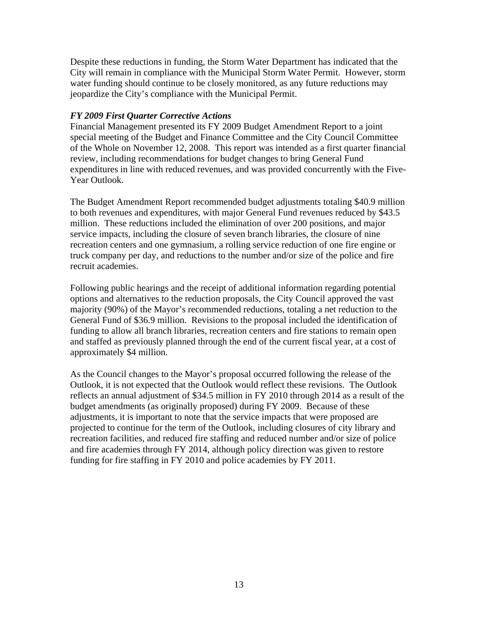Despite these reductions in funding, the Storm Water Department has indicated that the City will remain in compliance with the Municipal Storm Water Permit. However, storm water funding should continue to be closely monitored, as any future reductions may jeopardize the City's compliance with the Municipal Permit.

#### *FY 2009 First Quarter Corrective Actions*

Financial Management presented its FY 2009 Budget Amendment Report to a joint special meeting of the Budget and Finance Committee and the City Council Committee of the Whole on November 12, 2008. This report was intended as a first quarter financial review, including recommendations for budget changes to bring General Fund expenditures in line with reduced revenues, and was provided concurrently with the Five-Year Outlook.

The Budget Amendment Report recommended budget adjustments totaling \$40.9 million to both revenues and expenditures, with major General Fund revenues reduced by \$43.5 million. These reductions included the elimination of over 200 positions, and major service impacts, including the closure of seven branch libraries, the closure of nine recreation centers and one gymnasium, a rolling service reduction of one fire engine or truck company per day, and reductions to the number and/or size of the police and fire recruit academies.

Following public hearings and the receipt of additional information regarding potential options and alternatives to the reduction proposals, the City Council approved the vast majority (90%) of the Mayor's recommended reductions, totaling a net reduction to the General Fund of \$36.9 million. Revisions to the proposal included the identification of funding to allow all branch libraries, recreation centers and fire stations to remain open and staffed as previously planned through the end of the current fiscal year, at a cost of approximately \$4 million.

As the Council changes to the Mayor's proposal occurred following the release of the Outlook, it is not expected that the Outlook would reflect these revisions. The Outlook reflects an annual adjustment of \$34.5 million in FY 2010 through 2014 as a result of the budget amendments (as originally proposed) during FY 2009. Because of these adjustments, it is important to note that the service impacts that were proposed are projected to continue for the term of the Outlook, including closures of city library and recreation facilities, and reduced fire staffing and reduced number and/or size of police and fire academies through FY 2014, although policy direction was given to restore funding for fire staffing in FY 2010 and police academies by FY 2011.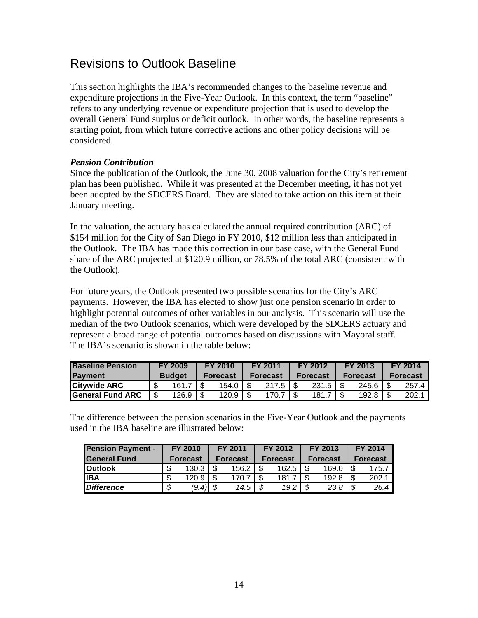### Revisions to Outlook Baseline

This section highlights the IBA's recommended changes to the baseline revenue and expenditure projections in the Five-Year Outlook. In this context, the term "baseline" refers to any underlying revenue or expenditure projection that is used to develop the overall General Fund surplus or deficit outlook. In other words, the baseline represents a starting point, from which future corrective actions and other policy decisions will be considered.

#### *Pension Contribution*

Since the publication of the Outlook, the June 30, 2008 valuation for the City's retirement plan has been published. While it was presented at the December meeting, it has not yet been adopted by the SDCERS Board. They are slated to take action on this item at their January meeting.

In the valuation, the actuary has calculated the annual required contribution (ARC) of \$154 million for the City of San Diego in FY 2010, \$12 million less than anticipated in the Outlook. The IBA has made this correction in our base case, with the General Fund share of the ARC projected at \$120.9 million, or 78.5% of the total ARC (consistent with the Outlook).

For future years, the Outlook presented two possible scenarios for the City's ARC payments. However, the IBA has elected to show just one pension scenario in order to highlight potential outcomes of other variables in our analysis. This scenario will use the median of the two Outlook scenarios, which were developed by the SDCERS actuary and represent a broad range of potential outcomes based on discussions with Mayoral staff. The IBA's scenario is shown in the table below:

| <b>Baseline Pension</b> | <b>FY 2009</b> | FY 2010              | <b>FY 2011</b>  | <b>FY 2012</b>  |  | FY 2013          | <b>FY 2014</b>  |
|-------------------------|----------------|----------------------|-----------------|-----------------|--|------------------|-----------------|
| Payment                 | <b>Budget</b>  | <b>Forecast</b>      | <b>Forecast</b> | <b>Forecast</b> |  | <b>Forecast</b>  | <b>Forecast</b> |
| <b>Citywide ARC</b>     | 161.7          | 154.0                | 217.5           | $231.5$   \$    |  | $245.6$   \$     | 257.4           |
| <b>General Fund ARC</b> | 126.9          | 120.9 $\blacksquare$ | 170.7           | 181.7           |  | 192.8 $\vert$ \$ | 202.7           |

The difference between the pension scenarios in the Five-Year Outlook and the payments used in the IBA baseline are illustrated below:

| <b>Pension Payment -</b> |    | <b>FY 2010</b>  | FY 2011         | FY 2012         | FY 2013         | <b>FY 2014</b>  |
|--------------------------|----|-----------------|-----------------|-----------------|-----------------|-----------------|
| <b>IGeneral Fund</b>     |    | <b>Forecast</b> | <b>Forecast</b> | <b>Forecast</b> | <b>Forecast</b> | <b>Forecast</b> |
| <b>Outlook</b>           | \$ | 130.3           | 156.2           | 162.5           | 169.0           | 175.7           |
| lIBA                     | \$ | 120.9           | 170.7           | 181.7           | 192.8           | 202.1           |
| Difference               | S  | (9, 4)          | \$<br>14.5      | 19.2            | 23.8            | 26.4            |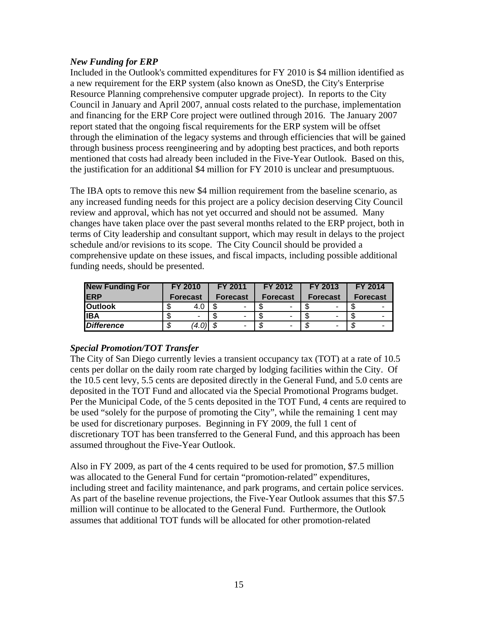#### *New Funding for ERP*

Included in the Outlook's committed expenditures for FY 2010 is \$4 million identified as a new requirement for the ERP system (also known as OneSD, the City's Enterprise Resource Planning comprehensive computer upgrade project). In reports to the City Council in January and April 2007, annual costs related to the purchase, implementation and financing for the ERP Core project were outlined through 2016. The January 2007 report stated that the ongoing fiscal requirements for the ERP system will be offset through the elimination of the legacy systems and through efficiencies that will be gained through business process reengineering and by adopting best practices, and both reports mentioned that costs had already been included in the Five-Year Outlook. Based on this, the justification for an additional \$4 million for FY 2010 is unclear and presumptuous.

The IBA opts to remove this new \$4 million requirement from the baseline scenario, as any increased funding needs for this project are a policy decision deserving City Council review and approval, which has not yet occurred and should not be assumed. Many changes have taken place over the past several months related to the ERP project, both in terms of City leadership and consultant support, which may result in delays to the project schedule and/or revisions to its scope. The City Council should be provided a comprehensive update on these issues, and fiscal impacts, including possible additional funding needs, should be presented.

| <b>New Funding For</b> |                 | <b>FY 2010</b> |          | <b>FY 2011</b> |                 | FY 2012 |                 | <b>FY 2013</b> | <b>FY 2014</b>  |
|------------------------|-----------------|----------------|----------|----------------|-----------------|---------|-----------------|----------------|-----------------|
| <b>IERP</b>            | <b>Forecast</b> |                | Forecast |                | <b>Forecast</b> |         | <b>Forecast</b> |                | <b>Forecast</b> |
| <b>Outlook</b>         | J               | 4.0            |          |                |                 |         |                 |                |                 |
| <b>IIBA</b>            |                 | -              |          | -              |                 |         |                 |                |                 |
| <b>Difference</b>      | \$              | (4.0)          | - \$     | -              | ۰D              |         |                 | -              | -               |

#### *Special Promotion/TOT Transfer*

The City of San Diego currently levies a transient occupancy tax (TOT) at a rate of 10.5 cents per dollar on the daily room rate charged by lodging facilities within the City. Of the 10.5 cent levy, 5.5 cents are deposited directly in the General Fund, and 5.0 cents are deposited in the TOT Fund and allocated via the Special Promotional Programs budget. Per the Municipal Code, of the 5 cents deposited in the TOT Fund, 4 cents are required to be used "solely for the purpose of promoting the City", while the remaining 1 cent may be used for discretionary purposes. Beginning in FY 2009, the full 1 cent of discretionary TOT has been transferred to the General Fund, and this approach has been assumed throughout the Five-Year Outlook.

Also in FY 2009, as part of the 4 cents required to be used for promotion, \$7.5 million was allocated to the General Fund for certain "promotion-related" expenditures, including street and facility maintenance, and park programs, and certain police services. As part of the baseline revenue projections, the Five-Year Outlook assumes that this \$7.5 million will continue to be allocated to the General Fund. Furthermore, the Outlook assumes that additional TOT funds will be allocated for other promotion-related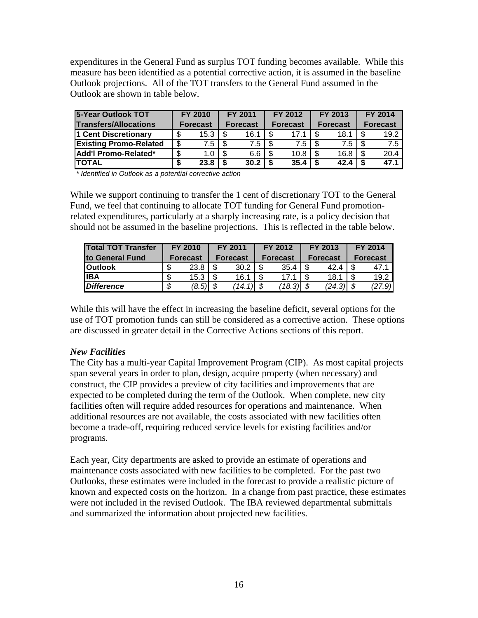expenditures in the General Fund as surplus TOT funding becomes available. While this measure has been identified as a potential corrective action, it is assumed in the baseline Outlook projections. All of the TOT transfers to the General Fund assumed in the Outlook are shown in table below.

| <b>5-Year Outlook TOT</b>     |                 | FY 2010 |      | <b>FY 2011</b>  |  | FY 2012         |  | FY 2013         |                 | <b>FY 2014</b> |
|-------------------------------|-----------------|---------|------|-----------------|--|-----------------|--|-----------------|-----------------|----------------|
| <b>Transfers/Allocations</b>  | <b>Forecast</b> |         |      | <b>Forecast</b> |  | <b>Forecast</b> |  | <b>Forecast</b> | <b>Forecast</b> |                |
| 1 Cent Discretionary          |                 | 15.3    |      | 16.1            |  |                 |  | 18.1            |                 | 19.2           |
| <b>Existing Promo-Related</b> | \$              | 7.5     | - \$ | 7.5             |  | 7.5             |  | 7.5             |                 | 7.5            |
| Add'l Promo-Related*          |                 |         | -\$  | 6.6             |  | 10.8            |  | 16.8            |                 | 20.4           |
| ITOTAL                        |                 | 23.8    | S    | 30.2            |  | 35.4            |  | 42.4            |                 | 47.1           |

*\* Identified in Outlook as a potential corrective action* 

While we support continuing to transfer the 1 cent of discretionary TOT to the General Fund, we feel that continuing to allocate TOT funding for General Fund promotionrelated expenditures, particularly at a sharply increasing rate, is a policy decision that should not be assumed in the baseline projections. This is reflected in the table below.

| <b>Total TOT Transfer</b> | <b>FY 2010</b>  |       |                 | FY 2011   |                 | FY 2012     | <b>FY 2013</b>  |                 | <b>FY 2014</b> |  |
|---------------------------|-----------------|-------|-----------------|-----------|-----------------|-------------|-----------------|-----------------|----------------|--|
| <b>Ito General Fund</b>   | <b>Forecast</b> |       | <b>Forecast</b> |           | <b>Forecast</b> |             | <b>Forecast</b> | <b>Forecast</b> |                |  |
| <b>IOutlook</b>           | \$.             | 23.8  |                 | 30.2      |                 | 35.4        | 42.4            |                 |                |  |
| <b>IIBA</b>               | \$              | 15.3  |                 | 16.1      |                 | 17.1        | 18.1            |                 | 19.2           |  |
| <b>Difference</b>         | S               | (8.5) |                 | 14.1<br>Л |                 | $(18.3)$ \$ | (24.3)          |                 | ا(9.'          |  |

While this will have the effect in increasing the baseline deficit, several options for the use of TOT promotion funds can still be considered as a corrective action. These options are discussed in greater detail in the Corrective Actions sections of this report.

#### *New Facilities*

The City has a multi-year Capital Improvement Program (CIP). As most capital projects span several years in order to plan, design, acquire property (when necessary) and construct, the CIP provides a preview of city facilities and improvements that are expected to be completed during the term of the Outlook. When complete, new city facilities often will require added resources for operations and maintenance. When additional resources are not available, the costs associated with new facilities often become a trade-off, requiring reduced service levels for existing facilities and/or programs.

Each year, City departments are asked to provide an estimate of operations and maintenance costs associated with new facilities to be completed. For the past two Outlooks, these estimates were included in the forecast to provide a realistic picture of known and expected costs on the horizon. In a change from past practice, these estimates were not included in the revised Outlook. The IBA reviewed departmental submittals and summarized the information about projected new facilities.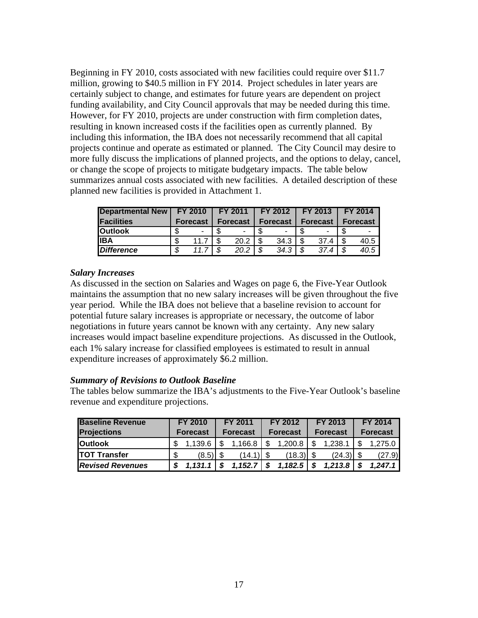Beginning in FY 2010, costs associated with new facilities could require over \$11.7 million, growing to \$40.5 million in FY 2014. Project schedules in later years are certainly subject to change, and estimates for future years are dependent on project funding availability, and City Council approvals that may be needed during this time. However, for FY 2010, projects are under construction with firm completion dates, resulting in known increased costs if the facilities open as currently planned. By including this information, the IBA does not necessarily recommend that all capital projects continue and operate as estimated or planned. The City Council may desire to more fully discuss the implications of planned projects, and the options to delay, cancel, or change the scope of projects to mitigate budgetary impacts. The table below summarizes annual costs associated with new facilities. A detailed description of these planned new facilities is provided in Attachment 1.

| <b>Departmental New</b> | <b>FY 2010</b> |                 | <b>FY 2011</b> |          | <b>FY 2012</b> |          |   | <b>FY 2013</b>  |  | <b>FY 2014</b>  |
|-------------------------|----------------|-----------------|----------------|----------|----------------|----------|---|-----------------|--|-----------------|
| <b>Facilities</b>       |                | <b>Forecast</b> |                | Forecast |                | Forecast |   | <b>Forecast</b> |  | <b>Forecast</b> |
| <b>IOutlook</b>         |                |                 |                |          |                |          |   |                 |  |                 |
| lIBA                    | ٨D             | 11.7            |                | 20.2     |                | 34.3     | S | 37.4            |  | 40.5            |
| <b>IDifference</b>      | σ              |                 | \$             | 20.2     | σ              | 34.3     | S | 37.4            |  | 40.5            |

#### *Salary Increases*

As discussed in the section on Salaries and Wages on page 6, the Five-Year Outlook maintains the assumption that no new salary increases will be given throughout the five year period. While the IBA does not believe that a baseline revision to account for potential future salary increases is appropriate or necessary, the outcome of labor negotiations in future years cannot be known with any certainty. Any new salary increases would impact baseline expenditure projections. As discussed in the Outlook, each 1% salary increase for classified employees is estimated to result in annual expenditure increases of approximately \$6.2 million.

#### *Summary of Revisions to Outlook Baseline*

The tables below summarize the IBA's adjustments to the Five-Year Outlook's baseline revenue and expenditure projections.

| <b>Baseline Revenue</b> | FY 2010  |         |                 | FY 2011 |          | FY 2012     |                 | FY 2013 |                 | <b>FY 2014</b> |
|-------------------------|----------|---------|-----------------|---------|----------|-------------|-----------------|---------|-----------------|----------------|
| <b>Projections</b>      | Forecast |         | <b>Forecast</b> |         | Forecast |             | <b>Forecast</b> |         | <b>Forecast</b> |                |
| <b>Outlook</b>          |          | 1.139.6 |                 | 1,166.8 |          | 1.200.8     |                 | 1.238.1 |                 | 1.275.0        |
| ITOT Transfer           |          | (8.5)   |                 | (14.1)  |          | $(18.3)$ \$ |                 | (24.3)  |                 | (27.9)         |
| <b>Revised Revenues</b> |          |         |                 | 1,152.7 |          | 1,182.5     |                 | 1.213.8 |                 | 1.247.1        |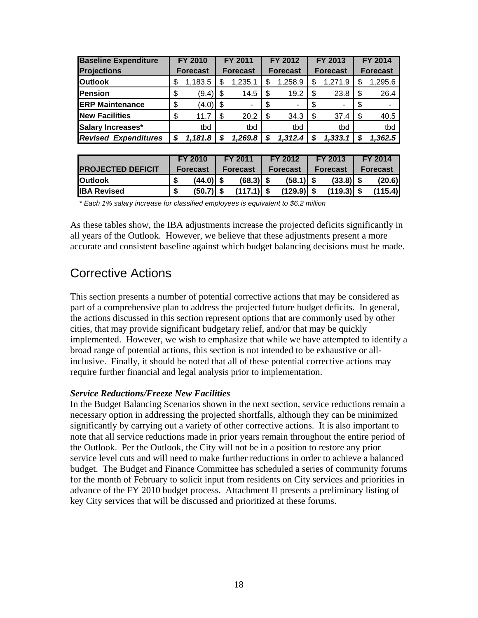| <b>Baseline Expenditure</b> | <b>FY 2010</b>  |      | FY 2011                  |      | FY 2012         |     | FY 2013         |     | <b>FY 2014</b>  |
|-----------------------------|-----------------|------|--------------------------|------|-----------------|-----|-----------------|-----|-----------------|
| <b>Projections</b>          | <b>Forecast</b> |      | <b>Forecast</b>          |      | <b>Forecast</b> |     | <b>Forecast</b> |     | <b>Forecast</b> |
| <b>Outlook</b>              | \$<br>1,183.5   |      | 1,235.1                  |      | 1,258.9         |     | 1,271.9         | S   | 1,295.6         |
| Pension                     | \$<br>(9.4)     | - \$ | 14.5                     | \$   | 19.2            | \$. | 23.8            | \$. | 26.4            |
| <b>ERP Maintenance</b>      | \$<br>(4.0)     | - \$ | $\overline{\phantom{a}}$ |      |                 | \$. |                 | \$  | ٠               |
| <b>New Facilities</b>       | \$<br>11.7      | S    | 20.2                     | - \$ | 34.3            |     | 37.4            | S   | 40.5            |
| Salary Increases*           | tbd             |      | tbd                      |      | tbd             |     | tbd             |     | tbd             |
| <b>Revised Expenditures</b> | 1.181.8         |      | 1,269.8                  |      | 1,312.4         |     | 1,333,1         |     | 1,362.5         |

|                           | FY 2010 |                 | FY 2011 |                 | FY 2012 |                 | <b>FY 2013</b>  | FY 2014         |
|---------------------------|---------|-----------------|---------|-----------------|---------|-----------------|-----------------|-----------------|
| <b>IPROJECTED DEFICIT</b> |         | <b>Forecast</b> |         | <b>Forecast</b> |         | <b>Forecast</b> | <b>Forecast</b> | <b>Forecast</b> |
| <b>IOutlook</b>           |         |                 |         | $(68.3)$ \$     |         | $(58.1)$ \$     | $(33.8)$ \$     | (20.6)          |
| <b>IBA Revised</b>        |         | $(50.7)$ \$     |         | $(117.1)$ \$    |         | $(129.9)$ \$    | (119.3)         | (115.4)         |

*\* Each 1% salary increase for classified employees is equivalent to \$6.2 million* 

As these tables show, the IBA adjustments increase the projected deficits significantly in all years of the Outlook. However, we believe that these adjustments present a more accurate and consistent baseline against which budget balancing decisions must be made.

### Corrective Actions

This section presents a number of potential corrective actions that may be considered as part of a comprehensive plan to address the projected future budget deficits. In general, the actions discussed in this section represent options that are commonly used by other cities, that may provide significant budgetary relief, and/or that may be quickly implemented. However, we wish to emphasize that while we have attempted to identify a broad range of potential actions, this section is not intended to be exhaustive or allinclusive. Finally, it should be noted that all of these potential corrective actions may require further financial and legal analysis prior to implementation.

#### *Service Reductions/Freeze New Facilities*

In the Budget Balancing Scenarios shown in the next section, service reductions remain a necessary option in addressing the projected shortfalls, although they can be minimized significantly by carrying out a variety of other corrective actions. It is also important to note that all service reductions made in prior years remain throughout the entire period of the Outlook. Per the Outlook, the City will not be in a position to restore any prior service level cuts and will need to make further reductions in order to achieve a balanced budget. The Budget and Finance Committee has scheduled a series of community forums for the month of February to solicit input from residents on City services and priorities in advance of the FY 2010 budget process. Attachment II presents a preliminary listing of key City services that will be discussed and prioritized at these forums.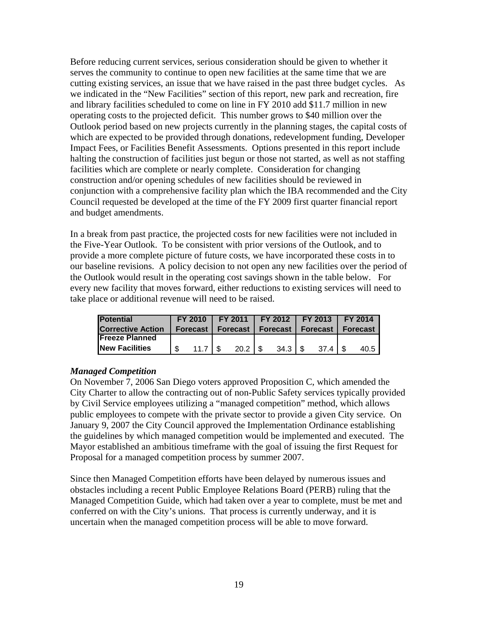Before reducing current services, serious consideration should be given to whether it serves the community to continue to open new facilities at the same time that we are cutting existing services, an issue that we have raised in the past three budget cycles. As we indicated in the "New Facilities" section of this report, new park and recreation, fire and library facilities scheduled to come on line in FY 2010 add \$11.7 million in new operating costs to the projected deficit. This number grows to \$40 million over the Outlook period based on new projects currently in the planning stages, the capital costs of which are expected to be provided through donations, redevelopment funding, Developer Impact Fees, or Facilities Benefit Assessments. Options presented in this report include halting the construction of facilities just begun or those not started, as well as not staffing facilities which are complete or nearly complete. Consideration for changing construction and/or opening schedules of new facilities should be reviewed in conjunction with a comprehensive facility plan which the IBA recommended and the City Council requested be developed at the time of the FY 2009 first quarter financial report and budget amendments.

In a break from past practice, the projected costs for new facilities were not included in the Five-Year Outlook. To be consistent with prior versions of the Outlook, and to provide a more complete picture of future costs, we have incorporated these costs in to our baseline revisions. A policy decision to not open any new facilities over the period of the Outlook would result in the operating cost savings shown in the table below. For every new facility that moves forward, either reductions to existing services will need to take place or additional revenue will need to be raised.

| <b>Potential</b>         |     |                   | FY 2010   FY 2011   FY 2012   FY 2013   FY 2014 |  |             |                 |  |          |
|--------------------------|-----|-------------------|-------------------------------------------------|--|-------------|-----------------|--|----------|
| <b>Corrective Action</b> |     | <b>Forecast</b> I | Forecast I                                      |  | Forecast l  | <b>Forecast</b> |  | Forecast |
| <b>IFreeze Planned</b>   |     |                   |                                                 |  |             |                 |  |          |
| <b>New Facilities</b>    | \$. | 11.7              | 20.2                                            |  | $34.3$   \$ | 37 <sub>4</sub> |  | 40.5     |

#### *Managed Competition*

On November 7, 2006 San Diego voters approved Proposition C, which amended the City Charter to allow the contracting out of non-Public Safety services typically provided by Civil Service employees utilizing a "managed competition" method, which allows public employees to compete with the private sector to provide a given City service. On January 9, 2007 the City Council approved the Implementation Ordinance establishing the guidelines by which managed competition would be implemented and executed. The Mayor established an ambitious timeframe with the goal of issuing the first Request for Proposal for a managed competition process by summer 2007.

Since then Managed Competition efforts have been delayed by numerous issues and obstacles including a recent Public Employee Relations Board (PERB) ruling that the Managed Competition Guide, which had taken over a year to complete, must be met and conferred on with the City's unions. That process is currently underway, and it is uncertain when the managed competition process will be able to move forward.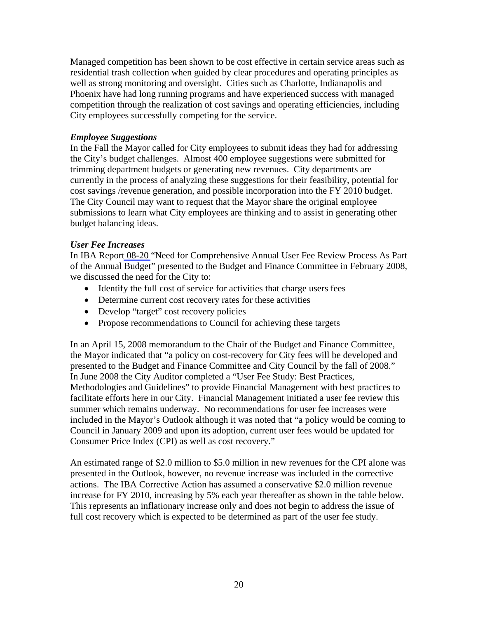Managed competition has been shown to be cost effective in certain service areas such as residential trash collection when guided by clear procedures and operating principles as well as strong monitoring and oversight. Cities such as Charlotte, Indianapolis and Phoenix have had long running programs and have experienced success with managed competition through the realization of cost savings and operating efficiencies, including City employees successfully competing for the service.

#### *Employee Suggestions*

In the Fall the Mayor called for City employees to submit ideas they had for addressing the City's budget challenges. Almost 400 employee suggestions were submitted for trimming department budgets or generating new revenues. City departments are currently in the process of analyzing these suggestions for their feasibility, potential for cost savings /revenue generation, and possible incorporation into the FY 2010 budget. The City Council may want to request that the Mayor share the original employee submissions to learn what City employees are thinking and to assist in generating other budget balancing ideas.

#### *User Fee Increases*

In IBA Repor[t 08-20](http://www.sandiego.gov/iba/pdf/08_20.pdf) "Need for Comprehensive Annual User Fee Review Process As Part of the Annual Budget" presented to the Budget and Finance Committee in February 2008, we discussed the need for the City to:

- Identify the full cost of service for activities that charge users fees
- Determine current cost recovery rates for these activities
- Develop "target" cost recovery policies
- Propose recommendations to Council for achieving these targets

In an April 15, 2008 memorandum to the Chair of the Budget and Finance Committee, the Mayor indicated that "a policy on cost-recovery for City fees will be developed and presented to the Budget and Finance Committee and City Council by the fall of 2008." In June 2008 the City Auditor completed a "User Fee Study: Best Practices, Methodologies and Guidelines" to provide Financial Management with best practices to facilitate efforts here in our City. Financial Management initiated a user fee review this summer which remains underway. No recommendations for user fee increases were included in the Mayor's Outlook although it was noted that "a policy would be coming to Council in January 2009 and upon its adoption, current user fees would be updated for Consumer Price Index (CPI) as well as cost recovery."

An estimated range of \$2.0 million to \$5.0 million in new revenues for the CPI alone was presented in the Outlook, however, no revenue increase was included in the corrective actions. The IBA Corrective Action has assumed a conservative \$2.0 million revenue increase for FY 2010, increasing by 5% each year thereafter as shown in the table below. This represents an inflationary increase only and does not begin to address the issue of full cost recovery which is expected to be determined as part of the user fee study.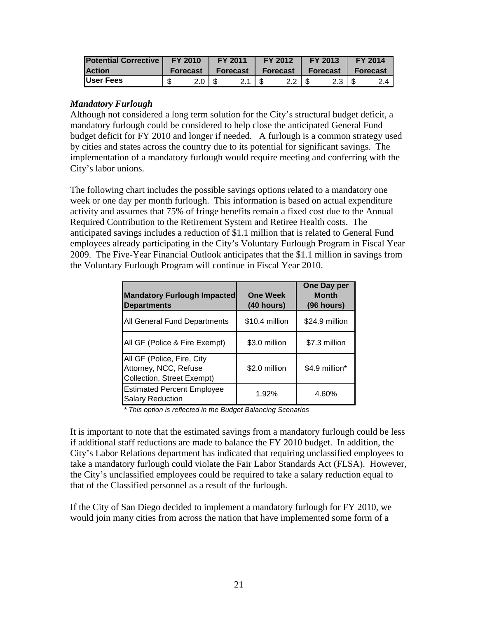| <b>Potential Corrective</b> | <b>FY 2010</b>  |            | FY 2011    |  | <b>FY 2012</b> |  | FY 2013     | FY 2014         |     |  |
|-----------------------------|-----------------|------------|------------|--|----------------|--|-------------|-----------------|-----|--|
| <b>Action</b>               | <b>Forecast</b> |            | Forecast I |  | Forecast       |  | Forecast I  | <b>Forecast</b> |     |  |
| User Fees                   |                 | $2.0$   \$ |            |  | $2.2$ S        |  | $2.3$ I $$$ |                 | 2.4 |  |

#### *Mandatory Furlough*

Although not considered a long term solution for the City's structural budget deficit, a mandatory furlough could be considered to help close the anticipated General Fund budget deficit for FY 2010 and longer if needed. A furlough is a common strategy used by cities and states across the country due to its potential for significant savings. The implementation of a mandatory furlough would require meeting and conferring with the City's labor unions.

The following chart includes the possible savings options related to a mandatory one week or one day per month furlough. This information is based on actual expenditure activity and assumes that 75% of fringe benefits remain a fixed cost due to the Annual Required Contribution to the Retirement System and Retiree Health costs. The anticipated savings includes a reduction of \$1.1 million that is related to General Fund employees already participating in the City's Voluntary Furlough Program in Fiscal Year 2009. The Five-Year Financial Outlook anticipates that the \$1.1 million in savings from the Voluntary Furlough Program will continue in Fiscal Year 2010.

| <b>Mandatory Furlough Impacted</b><br><b>Departments</b>                          | <b>One Week</b><br>(40 hours) | <b>One Day per</b><br><b>Month</b><br>(96 hours) |
|-----------------------------------------------------------------------------------|-------------------------------|--------------------------------------------------|
| All General Fund Departments                                                      | \$10.4 million                | \$24.9 million                                   |
| All GF (Police & Fire Exempt)                                                     | \$3.0 million                 | \$7.3 million                                    |
| All GF (Police, Fire, City<br>Attorney, NCC, Refuse<br>Collection, Street Exempt) | \$2.0 million                 | \$4.9 million*                                   |
| <b>Estimated Percent Employee</b><br><b>Salary Reduction</b>                      | 1.92%                         | 4.60%                                            |

*\* This option is reflected in the Budget Balancing Scenarios* 

It is important to note that the estimated savings from a mandatory furlough could be less if additional staff reductions are made to balance the FY 2010 budget. In addition, the City's Labor Relations department has indicated that requiring unclassified employees to take a mandatory furlough could violate the Fair Labor Standards Act (FLSA). However, the City's unclassified employees could be required to take a salary reduction equal to that of the Classified personnel as a result of the furlough.

If the City of San Diego decided to implement a mandatory furlough for FY 2010, we would join many cities from across the nation that have implemented some form of a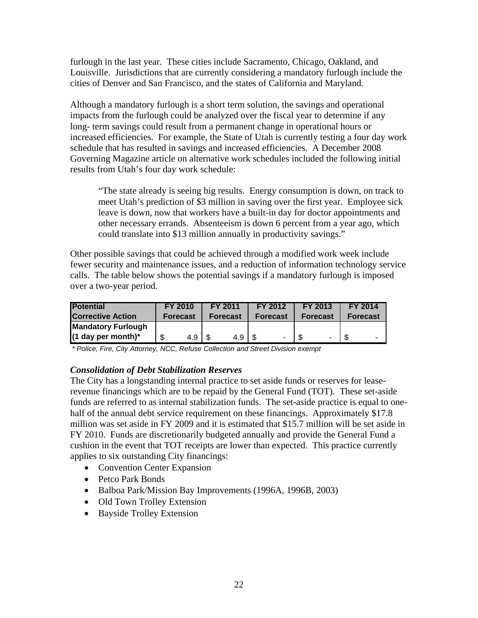furlough in the last year. These cities include Sacramento, Chicago, Oakland, and Louisville. Jurisdictions that are currently considering a mandatory furlough include the cities of Denver and San Francisco, and the states of California and Maryland.

Although a mandatory furlough is a short term solution, the savings and operational impacts from the furlough could be analyzed over the fiscal year to determine if any long- term savings could result from a permanent change in operational hours or increased efficiencies. For example, the State of Utah is currently testing a four day work schedule that has resulted in savings and increased efficiencies. A December 2008 Governing Magazine article on alternative work schedules included the following initial results from Utah's four day work schedule:

"The state already is seeing big results. Energy consumption is down, on track to meet Utah's prediction of \$3 million in saving over the first year. Employee sick leave is down, now that workers have a built-in day for doctor appointments and other necessary errands. Absenteeism is down 6 percent from a year ago, which could translate into \$13 million annually in productivity savings."

Other possible savings that could be achieved through a modified work week include fewer security and maintenance issues, and a reduction of information technology service calls. The table below shows the potential savings if a mandatory furlough is imposed over a two-year period.

| <b>Potential</b>          | <b>FY 2010</b>  | FY 2011         | FY 2012         | FY 2013         | <b>FY 2014</b>  |
|---------------------------|-----------------|-----------------|-----------------|-----------------|-----------------|
| <b>Corrective Action</b>  | <b>Forecast</b> | <b>Forecast</b> | <b>Forecast</b> | <b>Forecast</b> | <b>Forecast</b> |
| <b>Mandatory Furlough</b> |                 |                 |                 |                 |                 |
| $(1$ day per month)*      | 4.9 I           | 4.9             | $\sim$          | -               | -               |

*\* Police, Fire, City Attorney, NCC, Refuse Collection and Street Division exempt* 

#### *Consolidation of Debt Stabilization Reserves*

The City has a longstanding internal practice to set aside funds or reserves for leaserevenue financings which are to be repaid by the General Fund (TOT). These set-aside funds are referred to as internal stabilization funds. The set-aside practice is equal to onehalf of the annual debt service requirement on these financings. Approximately \$17.8 million was set aside in FY 2009 and it is estimated that \$15.7 million will be set aside in FY 2010. Funds are discretionarily budgeted annually and provide the General Fund a cushion in the event that TOT receipts are lower than expected. This practice currently applies to six outstanding City financings:

- Convention Center Expansion
- Petco Park Bonds
- Balboa Park/Mission Bay Improvements (1996A, 1996B, 2003)
- Old Town Trolley Extension
- Bayside Trolley Extension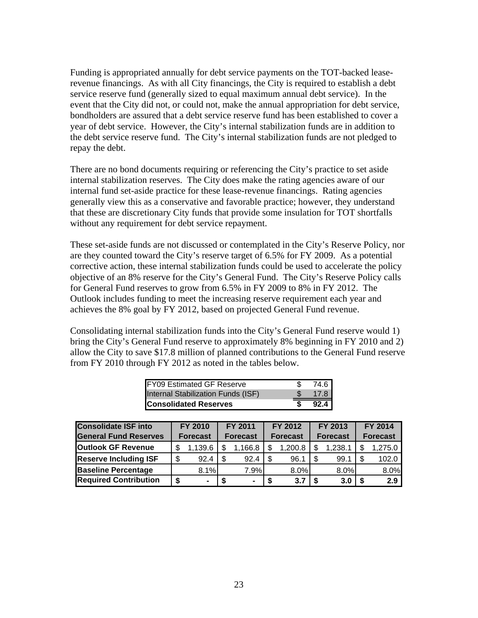Funding is appropriated annually for debt service payments on the TOT-backed leaserevenue financings. As with all City financings, the City is required to establish a debt service reserve fund (generally sized to equal maximum annual debt service). In the event that the City did not, or could not, make the annual appropriation for debt service, bondholders are assured that a debt service reserve fund has been established to cover a year of debt service. However, the City's internal stabilization funds are in addition to the debt service reserve fund. The City's internal stabilization funds are not pledged to repay the debt.

There are no bond documents requiring or referencing the City's practice to set aside internal stabilization reserves. The City does make the rating agencies aware of our internal fund set-aside practice for these lease-revenue financings. Rating agencies generally view this as a conservative and favorable practice; however, they understand that these are discretionary City funds that provide some insulation for TOT shortfalls without any requirement for debt service repayment.

These set-aside funds are not discussed or contemplated in the City's Reserve Policy, nor are they counted toward the City's reserve target of 6.5% for FY 2009. As a potential corrective action, these internal stabilization funds could be used to accelerate the policy objective of an 8% reserve for the City's General Fund. The City's Reserve Policy calls for General Fund reserves to grow from 6.5% in FY 2009 to 8% in FY 2012. The Outlook includes funding to meet the increasing reserve requirement each year and achieves the 8% goal by FY 2012, based on projected General Fund revenue.

Consolidating internal stabilization funds into the City's General Fund reserve would 1) bring the City's General Fund reserve to approximately 8% beginning in FY 2010 and 2) allow the City to save \$17.8 million of planned contributions to the General Fund reserve from FY 2010 through FY 2012 as noted in the tables below.

| <b>FY09 Estimated GF Reserve</b>   | 74.6 |
|------------------------------------|------|
| Internal Stabilization Funds (ISF) | 17.8 |
| <b>Consolidated Reserves</b>       | 92.4 |

| <b>Consolidate ISF into</b>  | FY 2010 |                 |     | FY 2011         |      | FY 2012         |  | FY 2013         |  | FY 2014         |
|------------------------------|---------|-----------------|-----|-----------------|------|-----------------|--|-----------------|--|-----------------|
| <b>General Fund Reserves</b> |         | <b>Forecast</b> |     | <b>Forecast</b> |      | <b>Forecast</b> |  | <b>Forecast</b> |  | <b>Forecast</b> |
| <b>Outlook GF Revenue</b>    |         | 1,139.6         | \$  | 1.166.8         |      | 1,200.8         |  | 1,238.1         |  | 1,275.0         |
| <b>Reserve Including ISF</b> | \$      | 92.4            | \$. | 92.4            | - \$ | 96.1            |  | 99.1            |  | 102.0           |
| <b>Baseline Percentage</b>   |         | 8.1%            |     | 7.9%            |      | 8.0%            |  | 8.0%            |  | 8.0%            |
| <b>Required Contribution</b> |         | ۰               |     | $\blacksquare$  |      | 3.7             |  | 3.0             |  | 2.9             |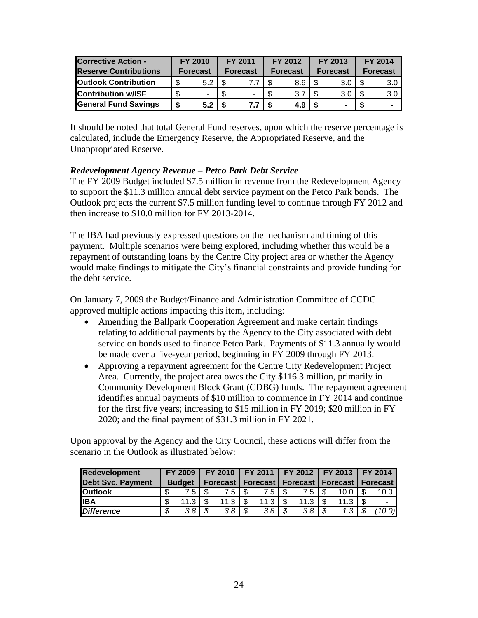| <b>Corrective Action -</b>   | <b>FY 2010</b> |                          | FY 2011 |                 | FY 2012         |     | FY 2013         |     |                 | <b>FY 2014</b>   |
|------------------------------|----------------|--------------------------|---------|-----------------|-----------------|-----|-----------------|-----|-----------------|------------------|
| <b>Reserve Contributions</b> |                | <b>Forecast</b>          |         | <b>Forecast</b> | <b>Forecast</b> |     | <b>Forecast</b> |     | <b>Forecast</b> |                  |
| <b>Outlook Contribution</b>  |                | 5.2                      |         |                 |                 | 8.6 |                 | 3.0 |                 | 3.0 <sub>2</sub> |
| <b>Contribution w/ISF</b>    |                | $\overline{\phantom{0}}$ |         |                 |                 | 3.7 |                 | 3.0 |                 | 3.0              |
| <b>General Fund Savings</b>  |                | 5.2                      |         |                 |                 | 4.9 |                 |     |                 | $\blacksquare$   |

It should be noted that total General Fund reserves, upon which the reserve percentage is calculated, include the Emergency Reserve, the Appropriated Reserve, and the Unappropriated Reserve.

#### *Redevelopment Agency Revenue – Petco Park Debt Service*

The FY 2009 Budget included \$7.5 million in revenue from the Redevelopment Agency to support the \$11.3 million annual debt service payment on the Petco Park bonds. The Outlook projects the current \$7.5 million funding level to continue through FY 2012 and then increase to \$10.0 million for FY 2013-2014.

The IBA had previously expressed questions on the mechanism and timing of this payment. Multiple scenarios were being explored, including whether this would be a repayment of outstanding loans by the Centre City project area or whether the Agency would make findings to mitigate the City's financial constraints and provide funding for the debt service.

On January 7, 2009 the Budget/Finance and Administration Committee of CCDC approved multiple actions impacting this item, including:

- Amending the Ballpark Cooperation Agreement and make certain findings relating to additional payments by the Agency to the City associated with debt service on bonds used to finance Petco Park. Payments of \$11.3 annually would be made over a five-year period, beginning in FY 2009 through FY 2013.
- Approving a repayment agreement for the Centre City Redevelopment Project Area. Currently, the project area owes the City \$116.3 million, primarily in Community Development Block Grant (CDBG) funds. The repayment agreement identifies annual payments of \$10 million to commence in FY 2014 and continue for the first five years; increasing to \$15 million in FY 2019; \$20 million in FY 2020; and the final payment of \$31.3 million in FY 2021.

Upon approval by the Agency and the City Council, these actions will differ from the scenario in the Outlook as illustrated below:

| <b>Redevelopment</b>     | <b>FY 2009</b> |  |      |  |       |  | FY 2010   FY 2011   FY 2012   FY 2013   FY 2014 |  |                  |  |        |                                                      |  |  |  |
|--------------------------|----------------|--|------|--|-------|--|-------------------------------------------------|--|------------------|--|--------|------------------------------------------------------|--|--|--|
| <b>Debt Svc. Payment</b> | <b>Budget</b>  |  |      |  |       |  |                                                 |  |                  |  |        | Forecast   Forecast   Forecast   Forecast   Forecast |  |  |  |
| <b>IOutlook</b>          | 7.5            |  | 7.5. |  | 7.5 I |  | 7.5                                             |  | 10.0             |  | 10.0   |                                                      |  |  |  |
| <b>IIBA</b>              | \$<br>11.3     |  | 11.3 |  | 11.3  |  | 11.3                                            |  | 11.3             |  |        |                                                      |  |  |  |
| <b>IDifference</b>       | \$<br>3.8      |  | 3.8  |  | 3.8   |  | 3.8                                             |  | 1.3 <sup>1</sup> |  | (10.0) |                                                      |  |  |  |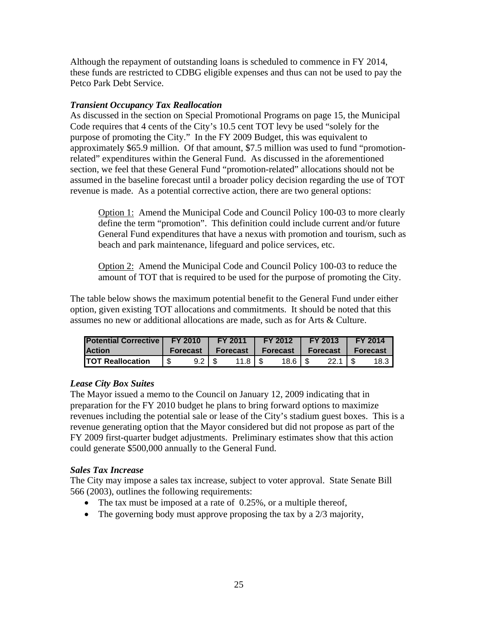Although the repayment of outstanding loans is scheduled to commence in FY 2014, these funds are restricted to CDBG eligible expenses and thus can not be used to pay the Petco Park Debt Service.

#### *Transient Occupancy Tax Reallocation*

As discussed in the section on Special Promotional Programs on page 15, the Municipal Code requires that 4 cents of the City's 10.5 cent TOT levy be used "solely for the purpose of promoting the City." In the FY 2009 Budget, this was equivalent to approximately \$65.9 million. Of that amount, \$7.5 million was used to fund "promotionrelated" expenditures within the General Fund. As discussed in the aforementioned section, we feel that these General Fund "promotion-related" allocations should not be assumed in the baseline forecast until a broader policy decision regarding the use of TOT revenue is made. As a potential corrective action, there are two general options:

Option 1: Amend the Municipal Code and Council Policy 100-03 to more clearly define the term "promotion". This definition could include current and/or future General Fund expenditures that have a nexus with promotion and tourism, such as beach and park maintenance, lifeguard and police services, etc.

Option 2: Amend the Municipal Code and Council Policy 100-03 to reduce the amount of TOT that is required to be used for the purpose of promoting the City.

The table below shows the maximum potential benefit to the General Fund under either option, given existing TOT allocations and commitments. It should be noted that this assumes no new or additional allocations are made, such as for Arts & Culture.

| <b>Potential Corrective   FY 2010</b> |    |                                | $\mathsf{FY}$ 2011                                       |  | $\sqrt{2012}$    |  | FY 2013             |  | $\mathsf{FY}$ 2014 |  |
|---------------------------------------|----|--------------------------------|----------------------------------------------------------|--|------------------|--|---------------------|--|--------------------|--|
| <b>Action</b>                         |    | Forecast   Forecast   Forecast |                                                          |  |                  |  | Forecast   Forecast |  |                    |  |
| <b>TOT Reallocation</b>               | 'S | $9.2$ S                        | $11.8$ $\overline{\phantom{1}}$ $\overline{\phantom{1}}$ |  | $18.6$ $\mid$ \$ |  | $22.1$ S            |  | $18.3$ .           |  |

#### *Lease City Box Suites*

The Mayor issued a memo to the Council on January 12, 2009 indicating that in preparation for the FY 2010 budget he plans to bring forward options to maximize revenues including the potential sale or lease of the City's stadium guest boxes. This is a revenue generating option that the Mayor considered but did not propose as part of the FY 2009 first-quarter budget adjustments. Preliminary estimates show that this action could generate \$500,000 annually to the General Fund.

#### *Sales Tax Increase*

The City may impose a sales tax increase, subject to voter approval. State Senate Bill 566 (2003), outlines the following requirements:

- The tax must be imposed at a rate of  $0.25\%$ , or a multiple thereof,
- The governing body must approve proposing the tax by a  $2/3$  majority,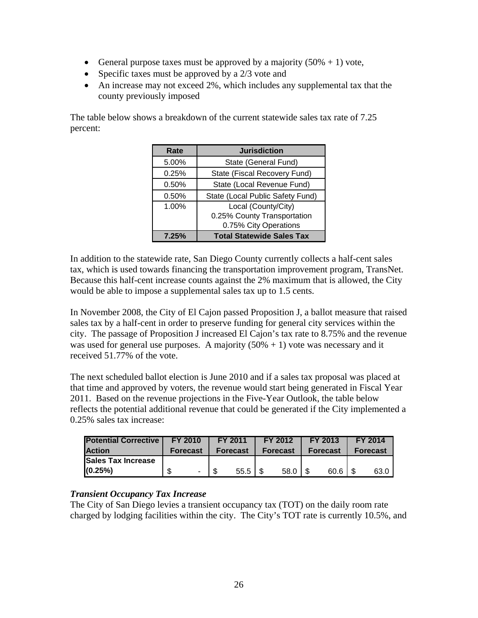- General purpose taxes must be approved by a majority  $(50\% + 1)$  vote,
- Specific taxes must be approved by a  $2/3$  vote and
- An increase may not exceed 2%, which includes any supplemental tax that the county previously imposed

The table below shows a breakdown of the current statewide sales tax rate of 7.25 percent:

| Rate  | <b>Jurisdiction</b>              |
|-------|----------------------------------|
| 5.00% | State (General Fund)             |
| 0.25% | State (Fiscal Recovery Fund)     |
| 0.50% | State (Local Revenue Fund)       |
| 0.50% | State (Local Public Safety Fund) |
| 1.00% | Local (County/City)              |
|       | 0.25% County Transportation      |
|       | 0.75% City Operations            |
| 7,25% | <b>Total Statewide Sales Tax</b> |

In addition to the statewide rate, San Diego County currently collects a half-cent sales tax, which is used towards financing the transportation improvement program, TransNet. Because this half-cent increase counts against the 2% maximum that is allowed, the City would be able to impose a supplemental sales tax up to 1.5 cents.

In November 2008, the City of El Cajon passed Proposition J, a ballot measure that raised sales tax by a half-cent in order to preserve funding for general city services within the city. The passage of Proposition J increased El Cajon's tax rate to 8.75% and the revenue was used for general use purposes. A majority  $(50\% + 1)$  vote was necessary and it received 51.77% of the vote.

The next scheduled ballot election is June 2010 and if a sales tax proposal was placed at that time and approved by voters, the revenue would start being generated in Fiscal Year 2011. Based on the revenue projections in the Five-Year Outlook, the table below reflects the potential additional revenue that could be generated if the City implemented a 0.25% sales tax increase:

| <b>Potential Corrective</b> | <b>FY 2010</b>  | <b>FY 2011</b>  | FY 2012         | FY 2013         | <b>FY 2014</b>  |
|-----------------------------|-----------------|-----------------|-----------------|-----------------|-----------------|
| <b>Action</b>               | <b>Forecast</b> | <b>Forecast</b> | <b>Forecast</b> | <b>Forecast</b> | <b>Forecast</b> |
| <b>ISales Tax Increase</b>  |                 |                 |                 |                 |                 |
| (0.25%)                     | $\blacksquare$  | 55.5            | 58.0            | 60.6            | 63.0            |

#### *Transient Occupancy Tax Increase*

The City of San Diego levies a transient occupancy tax (TOT) on the daily room rate charged by lodging facilities within the city. The City's TOT rate is currently 10.5%, and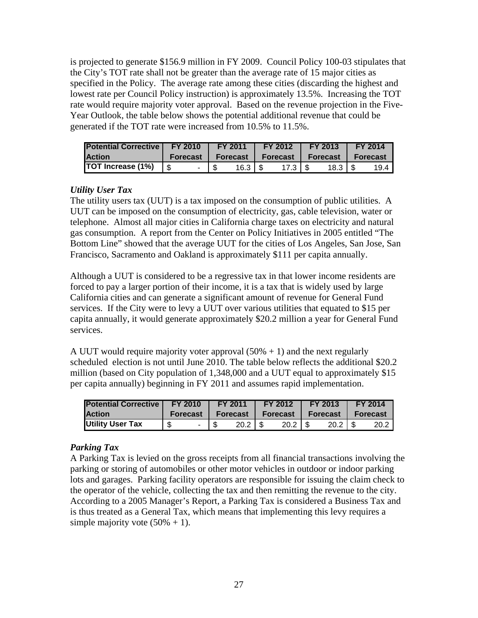is projected to generate \$156.9 million in FY 2009. Council Policy 100-03 stipulates that the City's TOT rate shall not be greater than the average rate of 15 major cities as specified in the Policy. The average rate among these cities (discarding the highest and lowest rate per Council Policy instruction) is approximately 13.5%. Increasing the TOT rate would require majority voter approval. Based on the revenue projection in the Five-Year Outlook, the table below shows the potential additional revenue that could be generated if the TOT rate were increased from 10.5% to 11.5%.

| <b>Potential Corrective   FY 2010</b> |          | FY 2011     | <b>FY 2012</b>                     | <b>FY 2013</b>    | FY 2014  |
|---------------------------------------|----------|-------------|------------------------------------|-------------------|----------|
| <b>Action</b>                         | Forecast |             | Forecast   Forecast                | <b>Forecast</b> I | Forecast |
| <b>TOT Increase (1%)</b>              |          | $16.3$   \$ | $17.3$ $\overline{\phantom{1}}$ \$ | $18.3$ $\mid$ \$  | 19.4 I   |

#### *Utility User Tax*

The utility users tax (UUT) is a tax imposed on the consumption of public utilities. A UUT can be imposed on the consumption of electricity, gas, cable television, water or telephone. Almost all major cities in California charge taxes on electricity and natural gas consumption. A report from the Center on Policy Initiatives in 2005 entitled "The Bottom Line" showed that the average UUT for the cities of Los Angeles, San Jose, San Francisco, Sacramento and Oakland is approximately \$111 per capita annually.

Although a UUT is considered to be a regressive tax in that lower income residents are forced to pay a larger portion of their income, it is a tax that is widely used by large California cities and can generate a significant amount of revenue for General Fund services. If the City were to levy a UUT over various utilities that equated to \$15 per capita annually, it would generate approximately \$20.2 million a year for General Fund services.

A UUT would require majority voter approval  $(50\% + 1)$  and the next regularly scheduled election is not until June 2010. The table below reflects the additional \$20.2 million (based on City population of 1,348,000 and a UUT equal to approximately \$15 per capita annually) beginning in FY 2011 and assumes rapid implementation.

| <b>Potential Corrective</b> | <b>FY 2010</b> | <b>FY 2011</b> |  | FY 2012             |  | FY 2013             | <b>T</b> FY 2014 |      |  |
|-----------------------------|----------------|----------------|--|---------------------|--|---------------------|------------------|------|--|
| <b>Action</b>               | Forecast       |                |  | Forecast   Forecast |  | Forecast   Forecast |                  |      |  |
| Utility User Tax            | \$             | $20.2$   \$    |  | $20.2$   \$         |  | $20.2$ S            |                  | 20.2 |  |

#### *Parking Tax*

A Parking Tax is levied on the gross receipts from all financial transactions involving the parking or storing of automobiles or other motor vehicles in outdoor or indoor parking lots and garages. Parking facility operators are responsible for issuing the claim check to the operator of the vehicle, collecting the tax and then remitting the revenue to the city. According to a 2005 Manager's Report, a Parking Tax is considered a Business Tax and is thus treated as a General Tax, which means that implementing this levy requires a simple majority vote  $(50\% + 1)$ .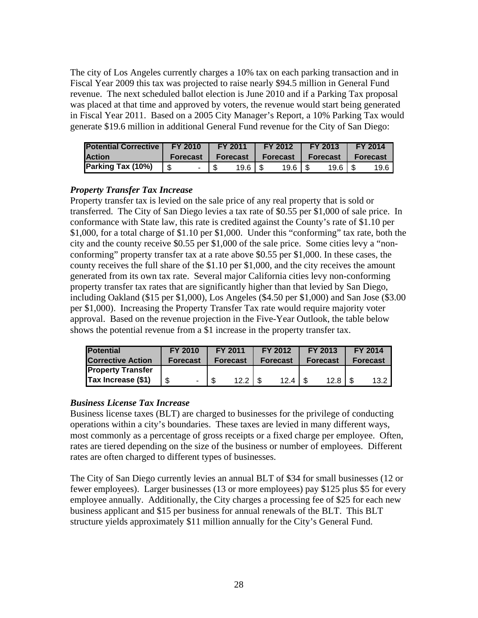The city of Los Angeles currently charges a 10% tax on each parking transaction and in Fiscal Year 2009 this tax was projected to raise nearly \$94.5 million in General Fund revenue. The next scheduled ballot election is June 2010 and if a Parking Tax proposal was placed at that time and approved by voters, the revenue would start being generated in Fiscal Year 2011. Based on a 2005 City Manager's Report, a 10% Parking Tax would generate \$19.6 million in additional General Fund revenue for the City of San Diego:

| <b>Potential Corrective</b> | <b>FY 2010</b> | FY 2011         | <b>FY 2012</b> | <b>FY 2013</b>   | <b>FY 2014</b>  |
|-----------------------------|----------------|-----------------|----------------|------------------|-----------------|
| <b>Action</b>               | Forecast I     | <b>Forecast</b> | Forecast       | Forecast I       | <b>Forecast</b> |
| Parking Tax (10%)           | - \$           | $19.6$   \$     |                | $19.6$ $\mid$ \$ | 19.6            |

#### *Property Transfer Tax Increase*

Property transfer tax is levied on the sale price of any real property that is sold or transferred. The City of San Diego levies a tax rate of \$0.55 per \$1,000 of sale price. In conformance with State law, this rate is credited against the County's rate of \$1.10 per \$1,000, for a total charge of \$1.10 per \$1,000. Under this "conforming" tax rate, both the city and the county receive \$0.55 per \$1,000 of the sale price. Some cities levy a "nonconforming" property transfer tax at a rate above \$0.55 per \$1,000. In these cases, the county receives the full share of the \$1.10 per \$1,000, and the city receives the amount generated from its own tax rate. Several major California cities levy non-conforming property transfer tax rates that are significantly higher than that levied by San Diego, including Oakland (\$15 per \$1,000), Los Angeles (\$4.50 per \$1,000) and San Jose (\$3.00 per \$1,000). Increasing the Property Transfer Tax rate would require majority voter approval. Based on the revenue projection in the Five-Year Outlook, the table below shows the potential revenue from a \$1 increase in the property transfer tax.

| <b>Potential</b>         | FY 2010         |                 | FY 2011 |                 | FY 2012 |                 | FY 2013 |                 | FY 2014 |
|--------------------------|-----------------|-----------------|---------|-----------------|---------|-----------------|---------|-----------------|---------|
| <b>Corrective Action</b> | <b>Forecast</b> | <b>Forecast</b> |         | <b>Forecast</b> |         | <b>Forecast</b> |         | <b>Forecast</b> |         |
| <b>Property Transfer</b> |                 |                 |         |                 |         |                 |         |                 |         |
| Tax Increase (\$1)       | ۰.              |                 | 12.2    |                 | 12.4    |                 | 12.8    |                 | 13.2    |

#### *Business License Tax Increase*

Business license taxes (BLT) are charged to businesses for the privilege of conducting operations within a city's boundaries. These taxes are levied in many different ways, most commonly as a percentage of gross receipts or a fixed charge per employee. Often, rates are tiered depending on the size of the business or number of employees. Different rates are often charged to different types of businesses.

The City of San Diego currently levies an annual BLT of \$34 for small businesses (12 or fewer employees). Larger businesses (13 or more employees) pay \$125 plus \$5 for every employee annually. Additionally, the City charges a processing fee of \$25 for each new business applicant and \$15 per business for annual renewals of the BLT. This BLT structure yields approximately \$11 million annually for the City's General Fund.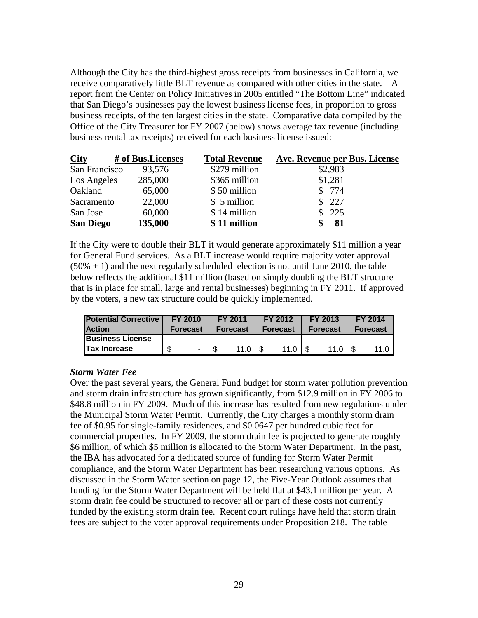receive comparatively little BLT revenue as compared with other cities in the state. A Although the City has the third-highest gross receipts from businesses in California, we report from the Center on Policy Initiatives in 2005 entitled "The Bottom Line" indicated that San Diego's businesses pay the lowest business license fees, in proportion to gross business receipts, of the ten largest cities in the state. Comparative data compiled by the Office of the City Treasurer for FY 2007 (below) shows average tax revenue (including business rental tax receipts) received for each business license issued:

| City             | # of Bus.Licenses | <b>Total Revenue</b> | Ave. Revenue per Bus. License |
|------------------|-------------------|----------------------|-------------------------------|
| San Francisco    | 93,576            | \$279 million        | \$2,983                       |
| Los Angeles      | 285,000           | \$365 million        | \$1,281                       |
| Oakland          | 65,000            | \$50 million         | \$ 774                        |
| Sacramento       | 22,000            | \$ 5 million         | \$227                         |
| San Jose         | 60,000            | \$14 million         | 225                           |
| <b>San Diego</b> | 135,000           | \$11 million         | 81                            |

If the City were to double their BLT it would generate approximately \$11 million a year for General Fund services. As a BLT increase would require majority voter approval  $(50% + 1)$  and the next regularly scheduled election is not until June 2010, the table below reflects the additional \$11 million (based on simply doubling the BLT structure that is in place for small, large and rental businesses) beginning in FY 2011. If approved by the voters, a new tax structure could be quickly implemented.

| <b>Potential Corrective</b> | FY 2010         |                | FY 2011         | FY 2012         | FY 2013         | <b>FY 2014</b>  |
|-----------------------------|-----------------|----------------|-----------------|-----------------|-----------------|-----------------|
| <b>Action</b>               | <b>Forecast</b> |                | <b>Forecast</b> | <b>Forecast</b> | <b>Forecast</b> | <b>Forecast</b> |
| <b>Business License</b>     |                 |                |                 |                 |                 |                 |
| <b>ITax Increase</b>        |                 | $\blacksquare$ | 11.0            | 11 $\Omega$     | 11.0            | 11 $\Omega$     |

#### *Storm Water Fee*

Over the past several years, the General Fund budget for storm water pollution prevention and storm drain infrastructure has grown significantly, from \$12.9 million in FY 2006 to \$48.8 million in FY 2009. Much of this increase has resulted from new regulations under the Municipal Storm Water Permit. Currently, the City charges a monthly storm drain fee of \$0.95 for single-family residences, and \$0.0647 per hundred cubic feet for commercial properties. In FY 2009, the storm drain fee is projected to generate roughly \$6 million, of which \$5 million is allocated to the Storm Water Department. In the past, the IBA has advocated for a dedicated source of funding for Storm Water Permit compliance, and the Storm Water Department has been researching various options. As discussed in the Storm Water section on page 12, the Five-Year Outlook assumes that funding for the Storm Water Department will be held flat at \$43.1 million per year. A storm drain fee could be structured to recover all or part of these costs not currently funded by the existing storm drain fee. Recent court rulings have held that storm drain fees are subject to the voter approval requirements under Proposition 218. The table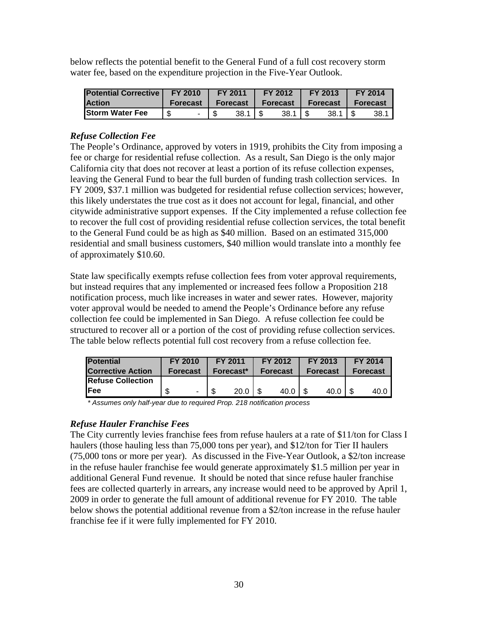below reflects the potential benefit to the General Fund of a full cost recovery storm water fee, based on the expenditure projection in the Five-Year Outlook.

| <b>Potential Corrective</b> | <b>FY 2010</b> |                 | FY 2011 |          |                            | <b>FY 2012</b> |            | <b>FY 2013</b> | <b>FY 2014</b>  |      |  |
|-----------------------------|----------------|-----------------|---------|----------|----------------------------|----------------|------------|----------------|-----------------|------|--|
| <b>Action</b>               |                | <b>Forecast</b> |         |          | <b>Forecast   Forecast</b> |                | Forecast I |                | <b>Forecast</b> |      |  |
| <b>Storm Water Fee</b>      | \$.            |                 |         | $38.1$ S |                            | -38.1          |            | 38.1           |                 | 38.1 |  |

#### *Refuse Collection Fee*

The People's Ordinance, approved by voters in 1919, prohibits the City from imposing a fee or charge for residential refuse collection. As a result, San Diego is the only major California city that does not recover at least a portion of its refuse collection expenses, leaving the General Fund to bear the full burden of funding trash collection services. In FY 2009, \$37.1 million was budgeted for residential refuse collection services; however, this likely understates the true cost as it does not account for legal, financial, and other citywide administrative support expenses. If the City implemented a refuse collection fee to recover the full cost of providing residential refuse collection services, the total benefit to the General Fund could be as high as \$40 million. Based on an estimated 315,000 residential and small business customers, \$40 million would translate into a monthly fee of approximately \$10.60.

State law specifically exempts refuse collection fees from voter approval requirements, but instead requires that any implemented or increased fees follow a Proposition 218 notification process, much like increases in water and sewer rates. However, majority voter approval would be needed to amend the People's Ordinance before any refuse collection fee could be implemented in San Diego. A refuse collection fee could be structured to recover all or a portion of the cost of providing refuse collection services. The table below reflects potential full cost recovery from a refuse collection fee.

| <b>Potential</b>          | <b>FY 2010</b>  | FY 2011   |      | FY 2012         |      | FY 2013         |      |                 | <b>FY 2014</b> |
|---------------------------|-----------------|-----------|------|-----------------|------|-----------------|------|-----------------|----------------|
| <b>Corrective Action</b>  | <b>Forecast</b> | Forecast* |      | <b>Forecast</b> |      | <b>Forecast</b> |      | <b>Forecast</b> |                |
| <b>IRefuse Collection</b> |                 |           |      |                 |      |                 |      |                 |                |
| IFee                      | ۰               |           | 20.0 |                 | 40.0 |                 | 40.0 |                 | 40.0 I         |

*\* Assumes only half-year due to required Prop. 218 notification process* 

#### *Refuse Hauler Franchise Fees*

The City currently levies franchise fees from refuse haulers at a rate of \$11/ton for Class I haulers (those hauling less than 75,000 tons per year), and \$12/ton for Tier II haulers (75,000 tons or more per year). As discussed in the Five-Year Outlook, a \$2/ton increase in the refuse hauler franchise fee would generate approximately \$1.5 million per year in additional General Fund revenue. It should be noted that since refuse hauler franchise fees are collected quarterly in arrears, any increase would need to be approved by April 1, 2009 in order to generate the full amount of additional revenue for FY 2010. The table below shows the potential additional revenue from a \$2/ton increase in the refuse hauler franchise fee if it were fully implemented for FY 2010.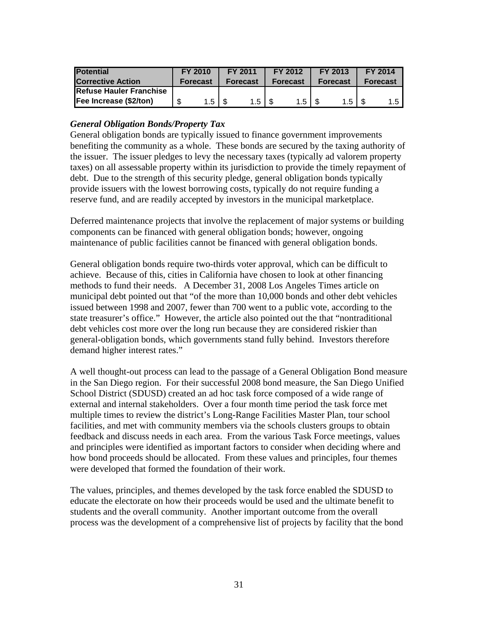| <b>Potential</b>               | <b>FY 2010</b>  |     | <b>FY 2011</b><br>FY 2012                               |                 |                  | FY 2013         |                  |                 | <b>FY 2014</b>   |
|--------------------------------|-----------------|-----|---------------------------------------------------------|-----------------|------------------|-----------------|------------------|-----------------|------------------|
| <b>Corrective Action</b>       | <b>Forecast</b> |     | <b>Forecast</b>                                         | <b>Forecast</b> |                  | <b>Forecast</b> |                  | <b>Forecast</b> |                  |
| <b>Refuse Hauler Franchise</b> |                 |     |                                                         |                 |                  |                 |                  |                 |                  |
| Fee Increase (\$2/ton)         |                 | 1.5 | $1.5$ $\overline{\phantom{0}}$ $\overline{\phantom{0}}$ |                 | 1.5 <sub>1</sub> |                 | 1.5 <sub>1</sub> |                 | 1.5 <sub>1</sub> |

#### *General Obligation Bonds/Property Tax*

General obligation bonds are typically issued to finance government improvements benefiting the community as a whole. These bonds are secured by the taxing authority of the issuer. The issuer pledges to levy the necessary taxes (typically ad valorem property taxes) on all assessable property within its jurisdiction to provide the timely repayment of debt. Due to the strength of this security pledge, general obligation bonds typically provide issuers with the lowest borrowing costs, typically do not require funding a reserve fund, and are readily accepted by investors in the municipal marketplace.

Deferred maintenance projects that involve the replacement of major systems or building components can be financed with general obligation bonds; however, ongoing maintenance of public facilities cannot be financed with general obligation bonds.

General obligation bonds require two-thirds voter approval, which can be difficult to achieve. Because of this, cities in California have chosen to look at other financing methods to fund their needs. A December 31, 2008 Los Angeles Times article on municipal debt pointed out that "of the more than 10,000 bonds and other debt vehicles issued between 1998 and 2007, fewer than 700 went to a public vote, according to the state treasurer's office." However, the article also pointed out the that "nontraditional debt vehicles cost more over the long run because they are considered riskier than general-obligation bonds, which governments stand fully behind. Investors therefore demand higher interest rates."

A well thought-out process can lead to the passage of a General Obligation Bond measure in the San Diego region. For their successful 2008 bond measure, the San Diego Unified School District (SDUSD) created an ad hoc task force composed of a wide range of external and internal stakeholders. Over a four month time period the task force met multiple times to review the district's Long-Range Facilities Master Plan, tour school facilities, and met with community members via the schools clusters groups to obtain feedback and discuss needs in each area. From the various Task Force meetings, values and principles were identified as important factors to consider when deciding where and how bond proceeds should be allocated. From these values and principles, four themes were developed that formed the foundation of their work.

The values, principles, and themes developed by the task force enabled the SDUSD to educate the electorate on how their proceeds would be used and the ultimate benefit to students and the overall community. Another important outcome from the overall process was the development of a comprehensive list of projects by facility that the bond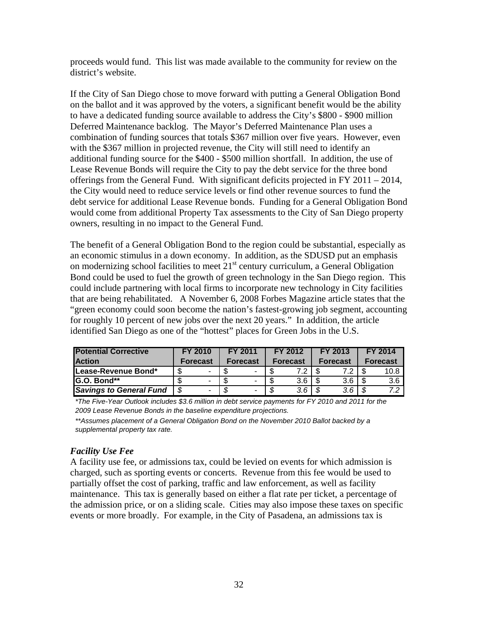proceeds would fund. This list was made available to the community for review on the district's website.

If the City of San Diego chose to move forward with putting a General Obligation Bond on the ballot and it was approved by the voters, a significant benefit would be the ability to have a dedicated funding source available to address the City's \$800 - \$900 million Deferred Maintenance backlog. The Mayor's Deferred Maintenance Plan uses a combination of funding sources that totals \$367 million over five years. However, even with the \$367 million in projected revenue, the City will still need to identify an additional funding source for the \$400 - \$500 million shortfall. In addition, the use of Lease Revenue Bonds will require the City to pay the debt service for the three bond offerings from the General Fund. With significant deficits projected in FY 2011 – 2014, the City would need to reduce service levels or find other revenue sources to fund the debt service for additional Lease Revenue bonds. Funding for a General Obligation Bond would come from additional Property Tax assessments to the City of San Diego property owners, resulting in no impact to the General Fund.

The benefit of a General Obligation Bond to the region could be substantial, especially as an economic stimulus in a down economy. In addition, as the SDUSD put an emphasis on modernizing school facilities to meet  $21<sup>st</sup>$  century curriculum, a General Obligation Bond could be used to fuel the growth of green technology in the San Diego region. This could include partnering with local firms to incorporate new technology in City facilities that are being rehabilitated. A November 6, 2008 Forbes Magazine article states that the "green economy could soon become the nation's fastest-growing job segment, accounting for roughly 10 percent of new jobs over the next 20 years." In addition, the article identified San Diego as one of the "hottest" places for Green Jobs in the U.S.

| <b>Potential Corrective</b>    | FY 2010         |  | <b>FY 2011</b>  |   |                       | FY 2012 |                     | FY 2013 |                 | FY 2014 |  |
|--------------------------------|-----------------|--|-----------------|---|-----------------------|---------|---------------------|---------|-----------------|---------|--|
| <b>Action</b>                  | <b>Forecast</b> |  | <b>Forecast</b> |   | <b>Forecast</b>       |         | <b>Forecast</b>     |         | <b>Forecast</b> |         |  |
| <b>ILease-Revenue Bond*</b>    |                 |  |                 |   |                       |         |                     | 79      |                 | 10.8    |  |
| <b>G.O. Bond**</b>             |                 |  |                 | - | റ                     | 3.6     |                     | 3.6     |                 | 3.6     |  |
| <b>Savings to General Fund</b> | - \$            |  | -\$             | ۰ | $\boldsymbol{\sigma}$ | $3.6$   | $\boldsymbol{\tau}$ | 3.6     | - \$            |         |  |

*\*The Five-Year Outlook includes \$3.6 million in debt service payments for FY 2010 and 2011 for the 2009 Lease Revenue Bonds in the baseline expenditure projections.* 

*\*\*Assumes placement of a General Obligation Bond on the November 2010 Ballot backed by a supplemental property tax rate.* 

#### *Facility Use Fee*

A facility use fee, or admissions tax, could be levied on events for which admission is charged, such as sporting events or concerts. Revenue from this fee would be used to partially offset the cost of parking, traffic and law enforcement, as well as facility maintenance. This tax is generally based on either a flat rate per ticket, a percentage of the admission price, or on a sliding scale. Cities may also impose these taxes on specific events or more broadly. For example, in the City of Pasadena, an admissions tax is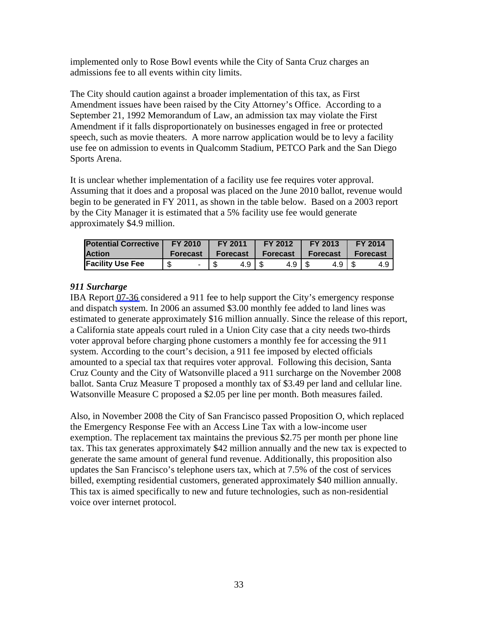implemented only to Rose Bowl events while the City of Santa Cruz charges an admissions fee to all events within city limits.

The City should caution against a broader implementation of this tax, as First Amendment issues have been raised by the City Attorney's Office. According to a September 21, 1992 Memorandum of Law, an admission tax may violate the First Amendment if it falls disproportionately on businesses engaged in free or protected speech, such as movie theaters. A more narrow application would be to levy a facility use fee on admission to events in Qualcomm Stadium, PETCO Park and the San Diego Sports Arena.

It is unclear whether implementation of a facility use fee requires voter approval. Assuming that it does and a proposal was placed on the June 2010 ballot, revenue would begin to be generated in FY 2011, as shown in the table below. Based on a 2003 report by the City Manager it is estimated that a 5% facility use fee would generate approximately \$4.9 million.

| <b>Potential Corrective</b> | <b>FY 2010</b>  | <b>FY 2011</b>    | FY 2012  | <b>FY 2013</b> | <b>FY 2014</b> |  |  |
|-----------------------------|-----------------|-------------------|----------|----------------|----------------|--|--|
| <b>Action</b>               | <b>Forecast</b> | <b>Forecast</b> L | Forecast | Forecast I     | Forecast       |  |  |
| <b>Facility Use Fee</b>     |                 | 4.9   \$          | 4.9   \$ | 4.9   \$       | 4.9 I          |  |  |

#### *911 Surcharge*

IBA Report [07-36](http://www.sandiego.gov/iba/pdf/07_36.pdf) considered a 911 fee to help support the City's emergency response and dispatch system. In 2006 an assumed \$3.00 monthly fee added to land lines was estimated to generate approximately \$16 million annually. Since the release of this report, a California state appeals court ruled in a Union City case that a city needs two-thirds voter approval before charging phone customers a monthly fee for accessing the 911 system. According to the court's decision, a 911 fee imposed by elected officials amounted to a special tax that requires voter approval. Following this decision, Santa Cruz County and the City of Watsonville placed a 911 surcharge on the November 2008 ballot. Santa Cruz Measure T proposed a monthly tax of \$3.49 per land and cellular line. Watsonville Measure C proposed a \$2.05 per line per month. Both measures failed.

Also, in November 2008 the City of San Francisco passed Proposition O, which replaced the Emergency Response Fee with an Access Line Tax with a low-income user exemption. The replacement tax maintains the previous \$2.75 per month per phone line tax. This tax generates approximately \$42 million annually and the new tax is expected to generate the same amount of general fund revenue. Additionally, this proposition also updates the San Francisco's telephone users tax, which at 7.5% of the cost of services billed, exempting residential customers, generated approximately \$40 million annually. This tax is aimed specifically to new and future technologies, such as non-residential voice over internet protocol.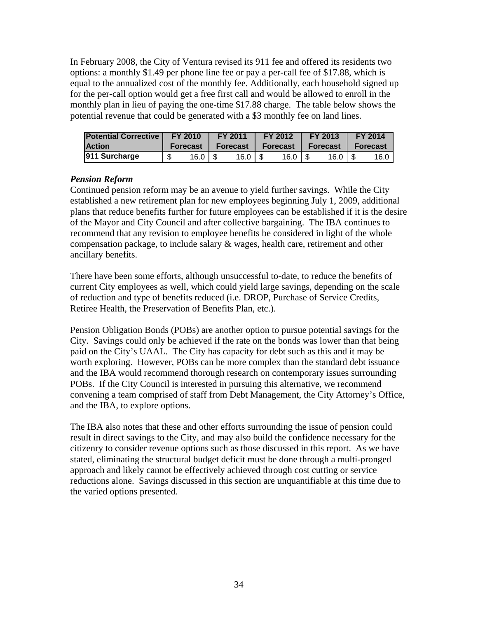In February 2008, the City of Ventura revised its 911 fee and offered its residents two options: a monthly \$1.49 per phone line fee or pay a per-call fee of \$17.88, which is equal to the annualized cost of the monthly fee. Additionally, each household signed up for the per-call option would get a free first call and would be allowed to enroll in the monthly plan in lieu of paying the one-time \$17.88 charge. The table below shows the potential revenue that could be generated with a \$3 monthly fee on land lines.

| <b>Potential Corrective</b> | FY 2010 |                 |            | <b>FY 2011</b>  |          | <b>FY 2012</b>    |          | <b>FY 2013</b>  |          | FY 2014 |  |
|-----------------------------|---------|-----------------|------------|-----------------|----------|-------------------|----------|-----------------|----------|---------|--|
| <b>Action</b>               |         | <b>Forecast</b> | Forecast / |                 | Forecast |                   | Forecast |                 | Forecast |         |  |
| 911 Surcharge               | \$      | 16.0 $\sqrt{3}$ |            | 16.0 $\sqrt{5}$ |          | 16.0 <sub>1</sub> |          | 16.0 $\sqrt{5}$ |          | 16.0 I  |  |

#### *Pension Reform*

Continued pension reform may be an avenue to yield further savings. While the City established a new retirement plan for new employees beginning July 1, 2009, additional plans that reduce benefits further for future employees can be established if it is the desire of the Mayor and City Council and after collective bargaining. The IBA continues to recommend that any revision to employee benefits be considered in light of the whole compensation package, to include salary & wages, health care, retirement and other ancillary benefits.

There have been some efforts, although unsuccessful to-date, to reduce the benefits of current City employees as well, which could yield large savings, depending on the scale of reduction and type of benefits reduced (i.e. DROP, Purchase of Service Credits, Retiree Health, the Preservation of Benefits Plan, etc.).

Pension Obligation Bonds (POBs) are another option to pursue potential savings for the City. Savings could only be achieved if the rate on the bonds was lower than that being paid on the City's UAAL. The City has capacity for debt such as this and it may be worth exploring. However, POBs can be more complex than the standard debt issuance and the IBA would recommend thorough research on contemporary issues surrounding POBs. If the City Council is interested in pursuing this alternative, we recommend convening a team comprised of staff from Debt Management, the City Attorney's Office, and the IBA, to explore options.

The IBA also notes that these and other efforts surrounding the issue of pension could result in direct savings to the City, and may also build the confidence necessary for the citizenry to consider revenue options such as those discussed in this report. As we have stated, eliminating the structural budget deficit must be done through a multi-pronged approach and likely cannot be effectively achieved through cost cutting or service reductions alone. Savings discussed in this section are unquantifiable at this time due to the varied options presented.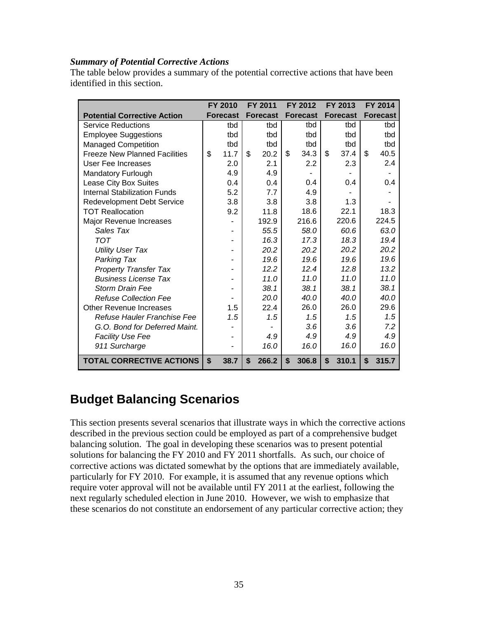#### *Summary of Potential Corrective Actions*

The table below provides a summary of the potential corrective actions that have been identified in this section.

|                                      |                           | FY 2010         | <b>FY 2011</b>  | FY 2012         | FY 2013         | <b>FY 2014</b>  |
|--------------------------------------|---------------------------|-----------------|-----------------|-----------------|-----------------|-----------------|
| <b>Potential Corrective Action</b>   |                           | <b>Forecast</b> | <b>Forecast</b> | <b>Forecast</b> | <b>Forecast</b> | <b>Forecast</b> |
| <b>Service Reductions</b>            |                           | tbd             | tbd             | tbd             | tbd             | tbd             |
| <b>Employee Suggestions</b>          |                           | tbd             | tbd             | tbd             | tbd             | tbd             |
| <b>Managed Competition</b>           |                           | tbd             | tbd             | tbd             | tbd             | tbd             |
| <b>Freeze New Planned Facilities</b> | \$                        | 11.7            | \$<br>20.2      | \$<br>34.3      | \$<br>37.4      | \$<br>40.5      |
| User Fee Increases                   |                           | 2.0             | 2.1             | 2.2             | 2.3             | 2.4             |
| <b>Mandatory Furlough</b>            |                           | 4.9             | 4.9             |                 |                 |                 |
| Lease City Box Suites                |                           | 0.4             | 0.4             | 0.4             | 0.4             | 0.4             |
| <b>Internal Stabilization Funds</b>  |                           | 5.2             | 7.7             | 4.9             |                 |                 |
| <b>Redevelopment Debt Service</b>    |                           | 3.8             | 3.8             | 3.8             | 1.3             |                 |
| <b>TOT Reallocation</b>              |                           | 9.2             | 11.8            | 18.6            | 22.1            | 18.3            |
| Major Revenue Increases              |                           |                 | 192.9           | 216.6           | 220.6           | 224.5           |
| Sales Tax                            |                           |                 | 55.5            | 58.0            | 60.6            | 63.0            |
| TOT                                  |                           |                 | 16.3            | 17.3            | 18.3            | 19.4            |
| <b>Utility User Tax</b>              |                           |                 | 20.2            | 20.2            | 20.2            | 20.2            |
| Parking Tax                          |                           |                 | 19.6            | 19.6            | 19.6            | 19.6            |
| <b>Property Transfer Tax</b>         |                           |                 | 12.2            | 12.4            | 12.8            | 13.2            |
| <b>Business License Tax</b>          |                           |                 | 11.0            | 11.0            | 11.0            | 11.0            |
| Storm Drain Fee                      |                           |                 | 38.1            | 38.1            | 38.1            | 38.1            |
| <b>Refuse Collection Fee</b>         |                           |                 | 20.0            | 40.0            | 40.0            | 40.0            |
| Other Revenue Increases              |                           | 1.5             | 22.4            | 26.0            | 26.0            | 29.6            |
| Refuse Hauler Franchise Fee          |                           | 1.5             | 1.5             | 1.5             | 1.5             | 1.5             |
| G.O. Bond for Deferred Maint.        |                           |                 |                 | 3.6             | 3.6             | 7.2             |
| <b>Facility Use Fee</b>              |                           |                 | 4.9             | 4.9             | 4.9             | 4.9             |
| 911 Surcharge                        |                           |                 | 16.0            | 16.0            | 16.0            | 16.0            |
| <b>TOTAL CORRECTIVE ACTIONS</b>      | $\boldsymbol{\mathsf{s}}$ | 38.7            | \$<br>266.2     | \$<br>306.8     | \$<br>310.1     | \$<br>315.7     |

## **Budget Balancing Scenarios**

This section presents several scenarios that illustrate ways in which the corrective actions described in the previous section could be employed as part of a comprehensive budget balancing solution. The goal in developing these scenarios was to present potential solutions for balancing the FY 2010 and FY 2011 shortfalls. As such, our choice of corrective actions was dictated somewhat by the options that are immediately available, particularly for FY 2010. For example, it is assumed that any revenue options which require voter approval will not be available until FY 2011 at the earliest, following the next regularly scheduled election in June 2010. However, we wish to emphasize that these scenarios do not constitute an endorsement of any particular corrective action; they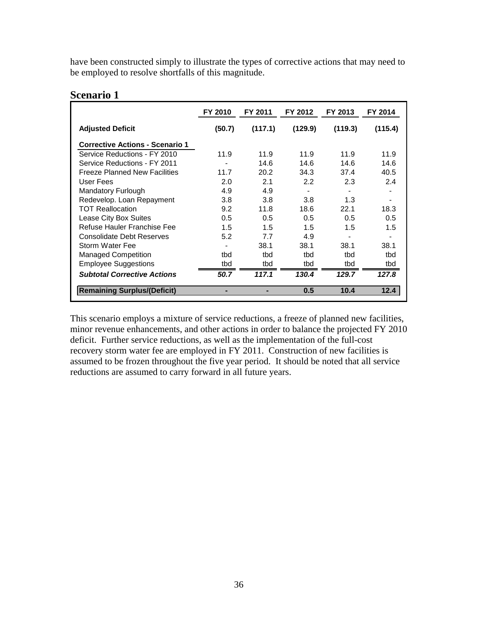have been constructed simply to illustrate the types of corrective actions that may need to be employed to resolve shortfalls of this magnitude.

#### **Scenario 1**

|                                        | FY 2010 | FY 2011 | FY 2012 | FY 2013 | FY 2014 |
|----------------------------------------|---------|---------|---------|---------|---------|
| <b>Adjusted Deficit</b>                | (50.7)  | (117.1) | (129.9) | (119.3) | (115.4) |
| <b>Corrective Actions - Scenario 1</b> |         |         |         |         |         |
| Service Reductions - FY 2010           | 11.9    | 11.9    | 11.9    | 11.9    | 11.9    |
| Service Reductions - FY 2011           |         | 14.6    | 14.6    | 14.6    | 14.6    |
| <b>Freeze Planned New Facilities</b>   | 11.7    | 20.2    | 34.3    | 37.4    | 40.5    |
| User Fees                              | 2.0     | 2.1     | 2.2     | 2.3     | 2.4     |
| <b>Mandatory Furlough</b>              | 4.9     | 4.9     |         |         |         |
| Redevelop. Loan Repayment              | 3.8     | 3.8     | 3.8     | 1.3     |         |
| <b>TOT Reallocation</b>                | 9.2     | 11.8    | 18.6    | 22.1    | 18.3    |
| Lease City Box Suites                  | 0.5     | 0.5     | 0.5     | 0.5     | 0.5     |
| Refuse Hauler Franchise Fee            | 1.5     | 1.5     | 1.5     | 1.5     | 1.5     |
| Consolidate Debt Reserves              | 5.2     | 7.7     | 4.9     |         |         |
| Storm Water Fee                        |         | 38.1    | 38.1    | 38.1    | 38.1    |
| <b>Managed Competition</b>             | tbd     | tbd     | tbd     | tbd     | tbd     |
| <b>Employee Suggestions</b>            | tbd     | tbd     | tbd     | tbd     | tbd     |
| <b>Subtotal Corrective Actions</b>     | 50.7    | 117.1   | 130.4   | 129.7   | 127.8   |
| <b>Remaining Surplus/(Deficit)</b>     |         |         | 0.5     | 10.4    | 12.4    |

This scenario employs a mixture of service reductions, a freeze of planned new facilities, minor revenue enhancements, and other actions in order to balance the projected FY 2010 deficit. Further service reductions, as well as the implementation of the full-cost recovery storm water fee are employed in FY 2011. Construction of new facilities is assumed to be frozen throughout the five year period. It should be noted that all service reductions are assumed to carry forward in all future years.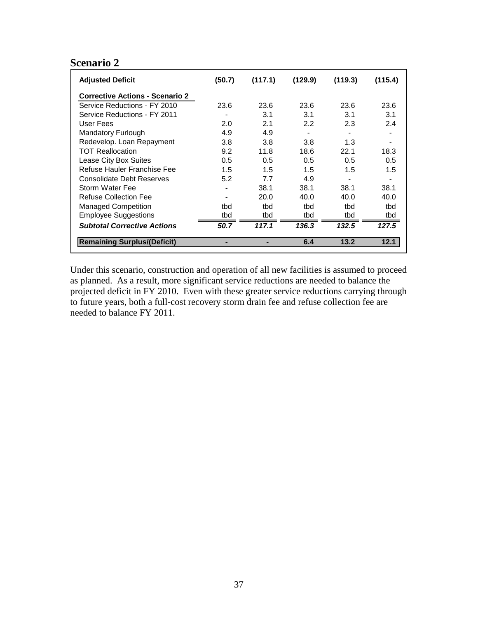#### **Scenario 2**

| <b>Adjusted Deficit</b>                | (50.7) | (117.1) | (129.9) | (119.3) | (115.4)        |
|----------------------------------------|--------|---------|---------|---------|----------------|
| <b>Corrective Actions - Scenario 2</b> |        |         |         |         |                |
| Service Reductions - FY 2010           | 23.6   | 23.6    | 23.6    | 23.6    | 23.6           |
| Service Reductions - FY 2011           |        | 3.1     | 3.1     | 3.1     | 3.1            |
| User Fees                              | 2.0    | 2.1     | 2.2     | 2.3     | 2.4            |
| Mandatory Furlough                     | 4.9    | 4.9     |         |         | $\blacksquare$ |
| Redevelop. Loan Repayment              | 3.8    | 3.8     | 3.8     | 1.3     |                |
| <b>TOT Reallocation</b>                | 9.2    | 11.8    | 18.6    | 22.1    | 18.3           |
| Lease City Box Suites                  | 0.5    | 0.5     | 0.5     | 0.5     | 0.5            |
| Refuse Hauler Franchise Fee            | 1.5    | 1.5     | 1.5     | 1.5     | 1.5            |
| Consolidate Debt Reserves              | 5.2    | 7.7     | 4.9     |         |                |
| Storm Water Fee                        |        | 38.1    | 38.1    | 38.1    | 38.1           |
| Refuse Collection Fee                  |        | 20.0    | 40.0    | 40.0    | 40.0           |
| <b>Managed Competition</b>             | tbd    | tbd     | thd     | thd     | tbd            |
| <b>Employee Suggestions</b>            | tbd    | tbd     | tbd     | tbd     | tbd            |
| <b>Subtotal Corrective Actions</b>     | 50.7   | 117.1   | 136.3   | 132.5   | 127.5          |
| <b>Remaining Surplus/(Deficit)</b>     | ۰      |         | 6.4     | 13.2    | 12.1           |

Under this scenario, construction and operation of all new facilities is assumed to proceed as planned. As a result, more significant service reductions are needed to balance the projected deficit in FY 2010. Even with these greater service reductions carrying through to future years, both a full-cost recovery storm drain fee and refuse collection fee are needed to balance FY 2011.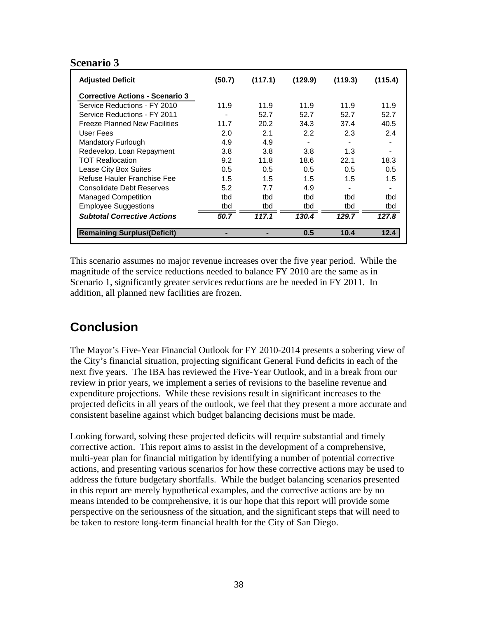#### **Scenario 3**

| <b>Adjusted Deficit</b>                | (50.7) | (117.1) | (129.9) | (119.3) | (115.4) |
|----------------------------------------|--------|---------|---------|---------|---------|
| <b>Corrective Actions - Scenario 3</b> |        |         |         |         |         |
| Service Reductions - FY 2010           | 11.9   | 11.9    | 11.9    | 11.9    | 11.9    |
| Service Reductions - FY 2011           |        | 52.7    | 52.7    | 52.7    | 52.7    |
| <b>Freeze Planned New Facilities</b>   | 11.7   | 20.2    | 34.3    | 37.4    | 40.5    |
| User Fees                              | 2.0    | 2.1     | 2.2     | 2.3     | 2.4     |
| <b>Mandatory Furlough</b>              | 4.9    | 4.9     |         |         |         |
| Redevelop. Loan Repayment              | 3.8    | 3.8     | 3.8     | 1.3     |         |
| <b>TOT Reallocation</b>                | 9.2    | 11.8    | 18.6    | 22.1    | 18.3    |
| Lease City Box Suites                  | 0.5    | 0.5     | 0.5     | 0.5     | 0.5     |
| Refuse Hauler Franchise Fee            | 1.5    | 1.5     | 1.5     | 1.5     | 1.5     |
| Consolidate Debt Reserves              | 5.2    | 7.7     | 4.9     |         |         |
| <b>Managed Competition</b>             | tbd    | tbd     | tbd     | tbd     | tbd     |
| <b>Employee Suggestions</b>            | tbd    | tbd     | tbd     | tbd     | tbd     |
| <b>Subtotal Corrective Actions</b>     | 50.7   | 117.1   | 130.4   | 129.7   | 127.8   |
| <b>Remaining Surplus/(Deficit)</b>     | ۰      |         | 0.5     | 10.4    | 12.4    |

This scenario assumes no major revenue increases over the five year period. While the magnitude of the service reductions needed to balance FY 2010 are the same as in Scenario 1, significantly greater services reductions are be needed in FY 2011. In addition, all planned new facilities are frozen.

## **Conclusion**

The Mayor's Five-Year Financial Outlook for FY 2010-2014 presents a sobering view of the City's financial situation, projecting significant General Fund deficits in each of the next five years. The IBA has reviewed the Five-Year Outlook, and in a break from our review in prior years, we implement a series of revisions to the baseline revenue and expenditure projections. While these revisions result in significant increases to the projected deficits in all years of the outlook, we feel that they present a more accurate and consistent baseline against which budget balancing decisions must be made.

Looking forward, solving these projected deficits will require substantial and timely corrective action. This report aims to assist in the development of a comprehensive, multi-year plan for financial mitigation by identifying a number of potential corrective actions, and presenting various scenarios for how these corrective actions may be used to address the future budgetary shortfalls. While the budget balancing scenarios presented in this report are merely hypothetical examples, and the corrective actions are by no means intended to be comprehensive, it is our hope that this report will provide some perspective on the seriousness of the situation, and the significant steps that will need to be taken to restore long-term financial health for the City of San Diego.